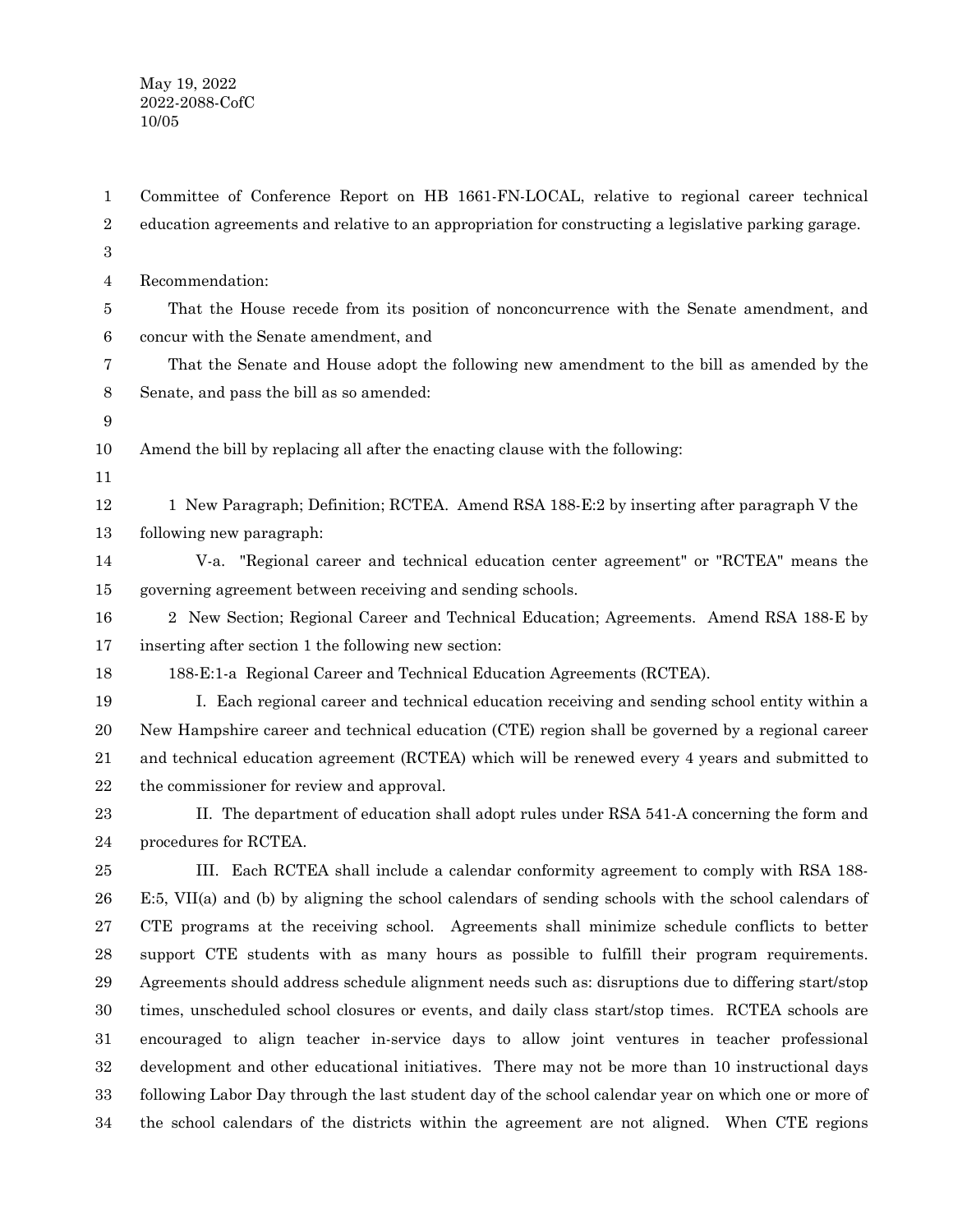May 19, 2022 2022-2088-CofC 10/05

Committee of Conference Report on HB 1661-FN-LOCAL, relative to regional career technical education agreements and relative to an appropriation for constructing a legislative parking garage. Recommendation: That the House recede from its position of nonconcurrence with the Senate amendment, and concur with the Senate amendment, and That the Senate and House adopt the following new amendment to the bill as amended by the Senate, and pass the bill as so amended: Amend the bill by replacing all after the enacting clause with the following: 1 New Paragraph; Definition; RCTEA. Amend RSA 188-E:2 by inserting after paragraph V the following new paragraph: V-a. "Regional career and technical education center agreement" or "RCTEA" means the governing agreement between receiving and sending schools. 2 New Section; Regional Career and Technical Education; Agreements. Amend RSA 188-E by inserting after section 1 the following new section: 188-E:1-a Regional Career and Technical Education Agreements (RCTEA). I. Each regional career and technical education receiving and sending school entity within a New Hampshire career and technical education (CTE) region shall be governed by a regional career and technical education agreement (RCTEA) which will be renewed every 4 years and submitted to the commissioner for review and approval. II. The department of education shall adopt rules under RSA 541-A concerning the form and procedures for RCTEA. III. Each RCTEA shall include a calendar conformity agreement to comply with RSA 188- E:5, VII(a) and (b) by aligning the school calendars of sending schools with the school calendars of CTE programs at the receiving school. Agreements shall minimize schedule conflicts to better support CTE students with as many hours as possible to fulfill their program requirements. Agreements should address schedule alignment needs such as: disruptions due to differing start/stop times, unscheduled school closures or events, and daily class start/stop times. RCTEA schools are encouraged to align teacher in-service days to allow joint ventures in teacher professional development and other educational initiatives. There may not be more than 10 instructional days following Labor Day through the last student day of the school calendar year on which one or more of the school calendars of the districts within the agreement are not aligned. When CTE regions 1 2 3 4 5 6 7 8 9 10 11 12 13 14 15 16 17 18 19 20 21 22 23 24 25 26 27 28 29 30 31 32 33 34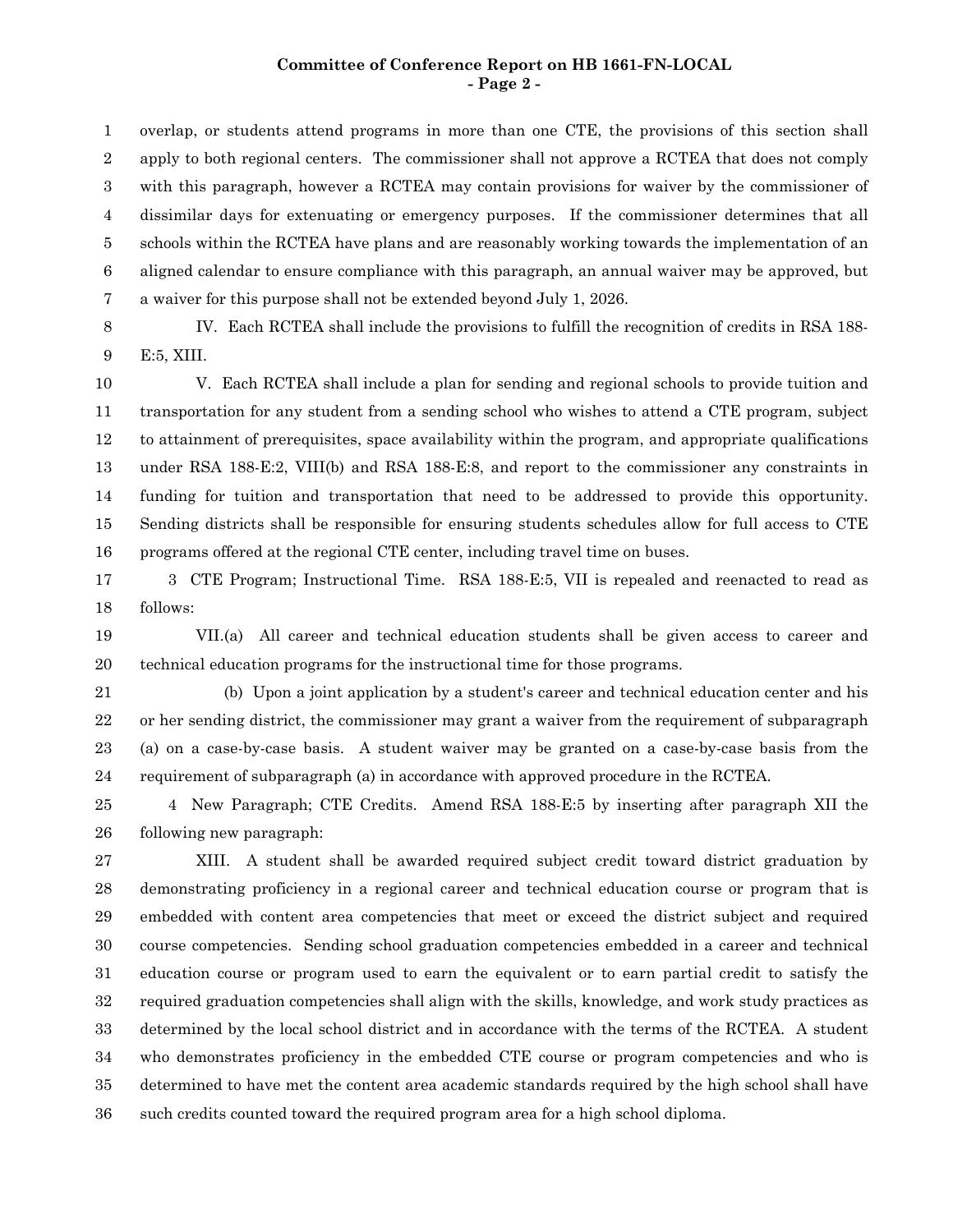#### **Committee of Conference Report on HB 1661-FN-LOCAL - Page 2 -**

overlap, or students attend programs in more than one CTE, the provisions of this section shall apply to both regional centers. The commissioner shall not approve a RCTEA that does not comply with this paragraph, however a RCTEA may contain provisions for waiver by the commissioner of dissimilar days for extenuating or emergency purposes. If the commissioner determines that all schools within the RCTEA have plans and are reasonably working towards the implementation of an aligned calendar to ensure compliance with this paragraph, an annual waiver may be approved, but a waiver for this purpose shall not be extended beyond July 1, 2026. 1 2 3 4 5 6 7

IV. Each RCTEA shall include the provisions to fulfill the recognition of credits in RSA 188- E:5, XIII. 8 9

V. Each RCTEA shall include a plan for sending and regional schools to provide tuition and transportation for any student from a sending school who wishes to attend a CTE program, subject to attainment of prerequisites, space availability within the program, and appropriate qualifications under RSA 188-E:2, VIII(b) and RSA 188-E:8, and report to the commissioner any constraints in funding for tuition and transportation that need to be addressed to provide this opportunity. Sending districts shall be responsible for ensuring students schedules allow for full access to CTE programs offered at the regional CTE center, including travel time on buses. 10 11 12 13 14 15 16

3 CTE Program; Instructional Time. RSA 188-E:5, VII is repealed and reenacted to read as follows: 17 18

VII.(a) All career and technical education students shall be given access to career and technical education programs for the instructional time for those programs. 19 20

(b) Upon a joint application by a student's career and technical education center and his or her sending district, the commissioner may grant a waiver from the requirement of subparagraph (a) on a case-by-case basis. A student waiver may be granted on a case-by-case basis from the requirement of subparagraph (a) in accordance with approved procedure in the RCTEA. 21 22 23 24

4 New Paragraph; CTE Credits. Amend RSA 188-E:5 by inserting after paragraph XII the following new paragraph: 25 26

XIII. A student shall be awarded required subject credit toward district graduation by demonstrating proficiency in a regional career and technical education course or program that is embedded with content area competencies that meet or exceed the district subject and required course competencies. Sending school graduation competencies embedded in a career and technical education course or program used to earn the equivalent or to earn partial credit to satisfy the required graduation competencies shall align with the skills, knowledge, and work study practices as determined by the local school district and in accordance with the terms of the RCTEA. A student who demonstrates proficiency in the embedded CTE course or program competencies and who is determined to have met the content area academic standards required by the high school shall have such credits counted toward the required program area for a high school diploma. 27 28 29 30 31 32 33 34 35 36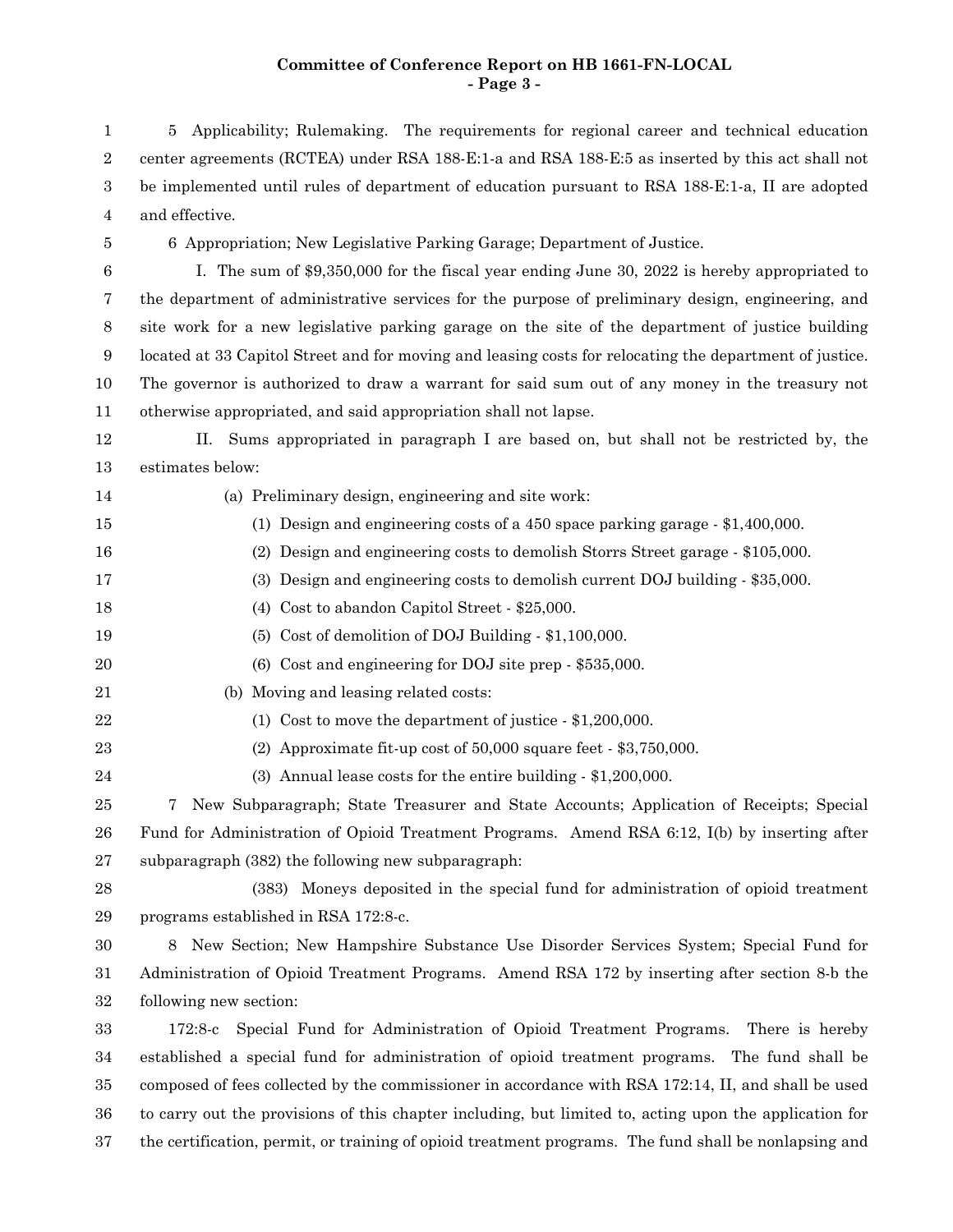# **Committee of Conference Report on HB 1661-FN-LOCAL - Page 3 -**

5 Applicability; Rulemaking. The requirements for regional career and technical education center agreements (RCTEA) under RSA 188-E:1-a and RSA 188-E:5 as inserted by this act shall not be implemented until rules of department of education pursuant to RSA 188-E:1-a, II are adopted and effective. 6 Appropriation; New Legislative Parking Garage; Department of Justice. I. The sum of \$9,350,000 for the fiscal year ending June 30, 2022 is hereby appropriated to the department of administrative services for the purpose of preliminary design, engineering, and site work for a new legislative parking garage on the site of the department of justice building located at 33 Capitol Street and for moving and leasing costs for relocating the department of justice. The governor is authorized to draw a warrant for said sum out of any money in the treasury not otherwise appropriated, and said appropriation shall not lapse. II. Sums appropriated in paragraph I are based on, but shall not be restricted by, the estimates below: (a) Preliminary design, engineering and site work: (1) Design and engineering costs of a 450 space parking garage - \$1,400,000. (2) Design and engineering costs to demolish Storrs Street garage - \$105,000. (3) Design and engineering costs to demolish current DOJ building - \$35,000. (4) Cost to abandon Capitol Street - \$25,000. (5) Cost of demolition of DOJ Building - \$1,100,000. (6) Cost and engineering for DOJ site prep - \$535,000. (b) Moving and leasing related costs: (1) Cost to move the department of justice - \$1,200,000. (2) Approximate fit-up cost of 50,000 square feet - \$3,750,000. (3) Annual lease costs for the entire building - \$1,200,000. 7 New Subparagraph; State Treasurer and State Accounts; Application of Receipts; Special Fund for Administration of Opioid Treatment Programs. Amend RSA 6:12, I(b) by inserting after subparagraph (382) the following new subparagraph: (383) Moneys deposited in the special fund for administration of opioid treatment programs established in RSA 172:8-c. 8 New Section; New Hampshire Substance Use Disorder Services System; Special Fund for Administration of Opioid Treatment Programs. Amend RSA 172 by inserting after section 8-b the following new section: 172:8-c Special Fund for Administration of Opioid Treatment Programs. There is hereby 1 2 3 4 5 6 7 8 9 10 11 12 13 14 15 16 17 18 19 20 21 22 23 24 25 26 27 28 29 30 31 32 33

established a special fund for administration of opioid treatment programs. The fund shall be composed of fees collected by the commissioner in accordance with RSA 172:14, II, and shall be used to carry out the provisions of this chapter including, but limited to, acting upon the application for the certification, permit, or training of opioid treatment programs. The fund shall be nonlapsing and 34 35 36 37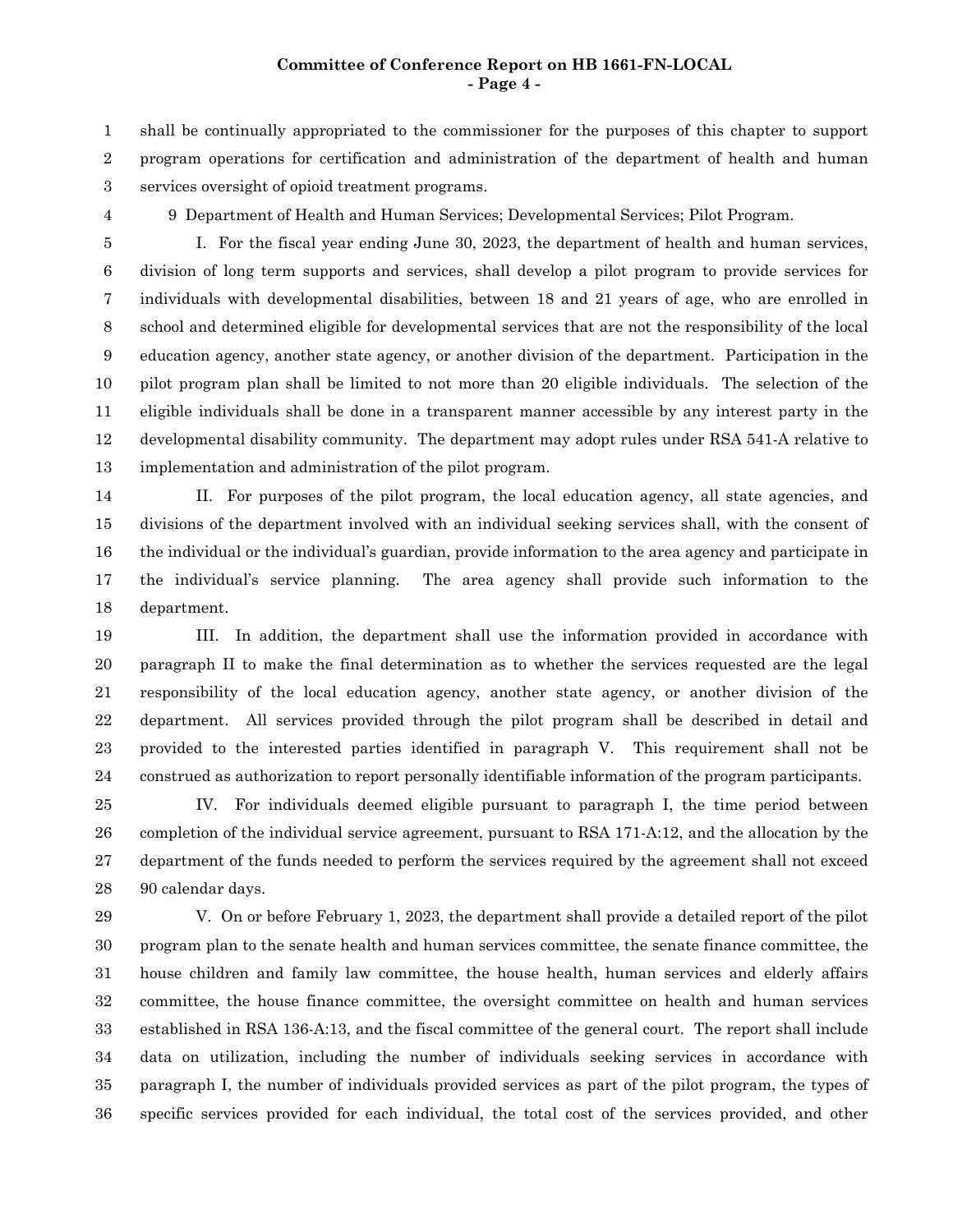### **Committee of Conference Report on HB 1661-FN-LOCAL - Page 4 -**

shall be continually appropriated to the commissioner for the purposes of this chapter to support program operations for certification and administration of the department of health and human services oversight of opioid treatment programs. 1 2 3

4

9 Department of Health and Human Services; Developmental Services; Pilot Program.

I. For the fiscal year ending June 30, 2023, the department of health and human services, division of long term supports and services, shall develop a pilot program to provide services for individuals with developmental disabilities, between 18 and 21 years of age, who are enrolled in school and determined eligible for developmental services that are not the responsibility of the local education agency, another state agency, or another division of the department. Participation in the pilot program plan shall be limited to not more than 20 eligible individuals. The selection of the eligible individuals shall be done in a transparent manner accessible by any interest party in the developmental disability community. The department may adopt rules under RSA 541-A relative to implementation and administration of the pilot program. 5 6 7 8 9 10 11 12 13

II. For purposes of the pilot program, the local education agency, all state agencies, and divisions of the department involved with an individual seeking services shall, with the consent of the individual or the individual's guardian, provide information to the area agency and participate in the individual's service planning. The area agency shall provide such information to the department. 14 15 16 17 18

III. In addition, the department shall use the information provided in accordance with paragraph II to make the final determination as to whether the services requested are the legal responsibility of the local education agency, another state agency, or another division of the department. All services provided through the pilot program shall be described in detail and provided to the interested parties identified in paragraph V. This requirement shall not be construed as authorization to report personally identifiable information of the program participants. 19 20 21 22 23 24

IV. For individuals deemed eligible pursuant to paragraph I, the time period between completion of the individual service agreement, pursuant to RSA 171-A:12, and the allocation by the department of the funds needed to perform the services required by the agreement shall not exceed 90 calendar days. 25 26 27 28

V. On or before February 1, 2023, the department shall provide a detailed report of the pilot program plan to the senate health and human services committee, the senate finance committee, the house children and family law committee, the house health, human services and elderly affairs committee, the house finance committee, the oversight committee on health and human services established in RSA 136-A:13, and the fiscal committee of the general court. The report shall include data on utilization, including the number of individuals seeking services in accordance with paragraph I, the number of individuals provided services as part of the pilot program, the types of specific services provided for each individual, the total cost of the services provided, and other 29 30 31 32 33 34 35 36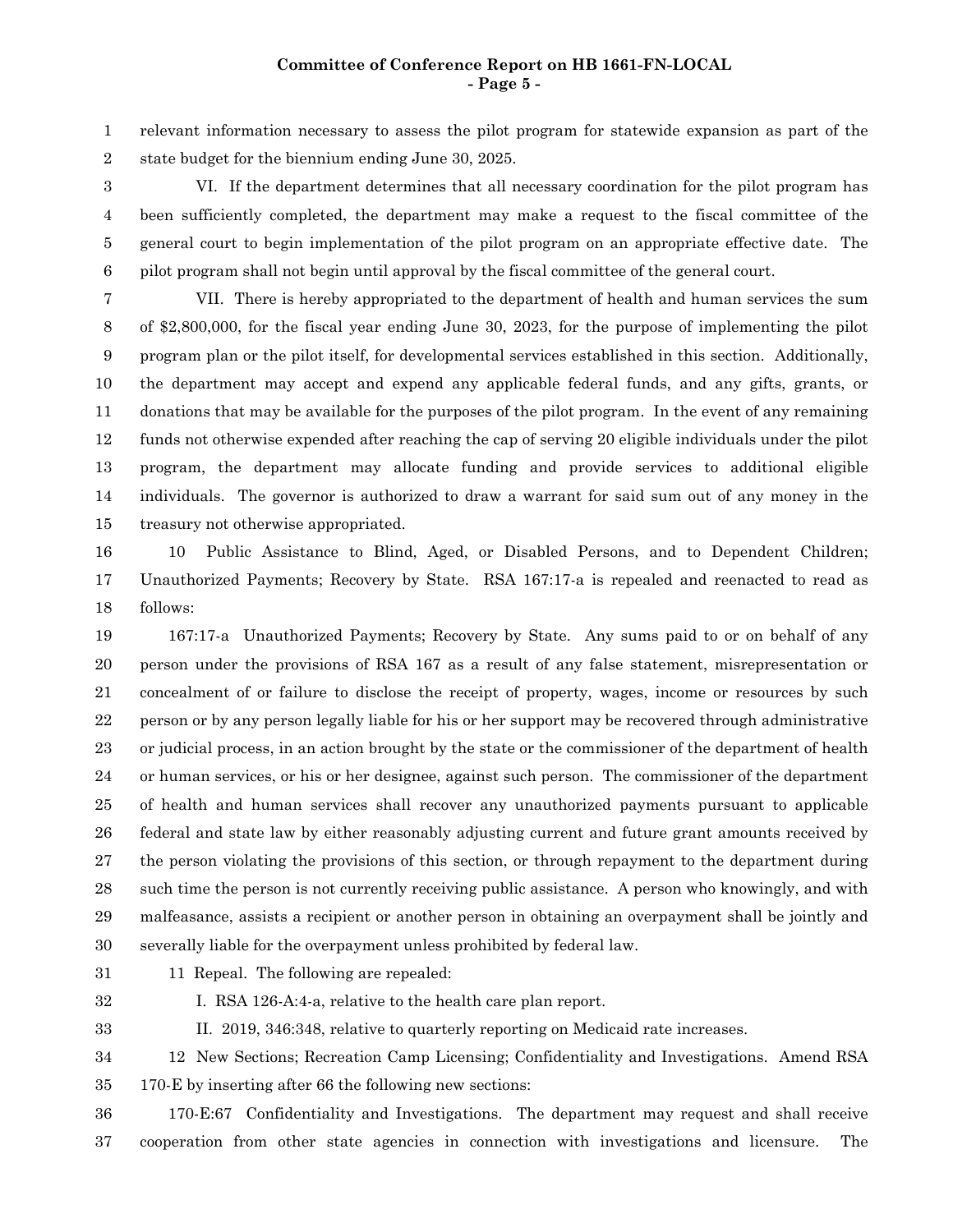# **Committee of Conference Report on HB 1661-FN-LOCAL - Page 5 -**

relevant information necessary to assess the pilot program for statewide expansion as part of the state budget for the biennium ending June 30, 2025. 1 2

VI. If the department determines that all necessary coordination for the pilot program has been sufficiently completed, the department may make a request to the fiscal committee of the general court to begin implementation of the pilot program on an appropriate effective date. The pilot program shall not begin until approval by the fiscal committee of the general court. 3 4 5 6

VII. There is hereby appropriated to the department of health and human services the sum of \$2,800,000, for the fiscal year ending June 30, 2023, for the purpose of implementing the pilot program plan or the pilot itself, for developmental services established in this section. Additionally, the department may accept and expend any applicable federal funds, and any gifts, grants, or donations that may be available for the purposes of the pilot program. In the event of any remaining funds not otherwise expended after reaching the cap of serving 20 eligible individuals under the pilot program, the department may allocate funding and provide services to additional eligible individuals. The governor is authorized to draw a warrant for said sum out of any money in the treasury not otherwise appropriated. 7 8 9 10 11 12 13 14 15

10 Public Assistance to Blind, Aged, or Disabled Persons, and to Dependent Children; Unauthorized Payments; Recovery by State. RSA 167:17-a is repealed and reenacted to read as follows: 16 17 18

167:17-a Unauthorized Payments; Recovery by State. Any sums paid to or on behalf of any person under the provisions of RSA 167 as a result of any false statement, misrepresentation or concealment of or failure to disclose the receipt of property, wages, income or resources by such person or by any person legally liable for his or her support may be recovered through administrative or judicial process, in an action brought by the state or the commissioner of the department of health or human services, or his or her designee, against such person. The commissioner of the department of health and human services shall recover any unauthorized payments pursuant to applicable federal and state law by either reasonably adjusting current and future grant amounts received by the person violating the provisions of this section, or through repayment to the department during such time the person is not currently receiving public assistance. A person who knowingly, and with malfeasance, assists a recipient or another person in obtaining an overpayment shall be jointly and severally liable for the overpayment unless prohibited by federal law. 19 20 21 22 23 24 25 26 27 28 29 30

31

11 Repeal. The following are repealed:

32

I. RSA 126-A:4-a, relative to the health care plan report.

33

II. 2019, 346:348, relative to quarterly reporting on Medicaid rate increases.

12 New Sections; Recreation Camp Licensing; Confidentiality and Investigations. Amend RSA 170-E by inserting after 66 the following new sections: 34 35

170-E:67 Confidentiality and Investigations. The department may request and shall receive cooperation from other state agencies in connection with investigations and licensure. The 36 37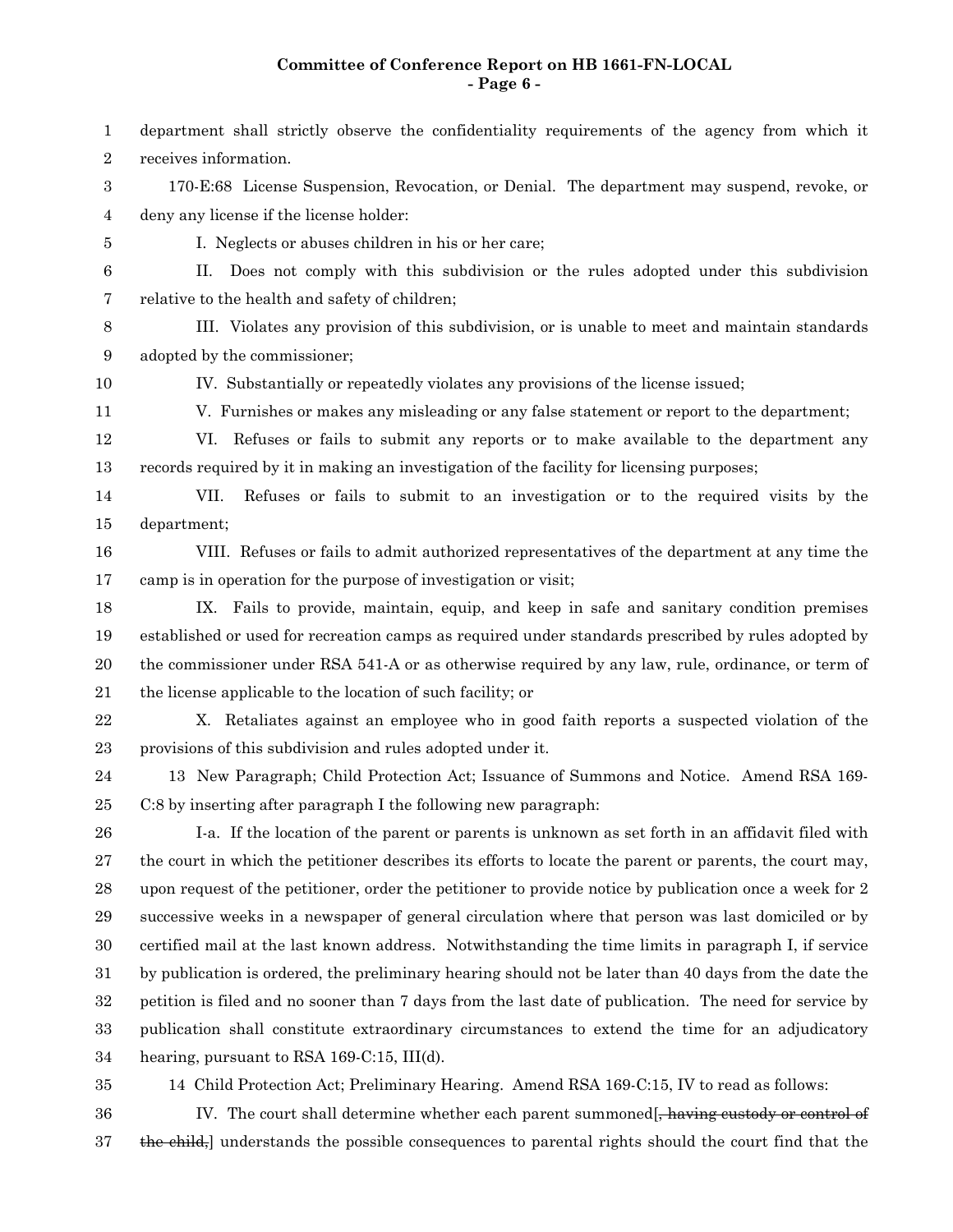### **Committee of Conference Report on HB 1661-FN-LOCAL - Page 6 -**

- department shall strictly observe the confidentiality requirements of the agency from which it receives information. 170-E:68 License Suspension, Revocation, or Denial. The department may suspend, revoke, or deny any license if the license holder: I. Neglects or abuses children in his or her care; II. Does not comply with this subdivision or the rules adopted under this subdivision relative to the health and safety of children; III. Violates any provision of this subdivision, or is unable to meet and maintain standards adopted by the commissioner; IV. Substantially or repeatedly violates any provisions of the license issued; V. Furnishes or makes any misleading or any false statement or report to the department; VI. Refuses or fails to submit any reports or to make available to the department any records required by it in making an investigation of the facility for licensing purposes; VII. Refuses or fails to submit to an investigation or to the required visits by the department; VIII. Refuses or fails to admit authorized representatives of the department at any time the camp is in operation for the purpose of investigation or visit; IX. Fails to provide, maintain, equip, and keep in safe and sanitary condition premises established or used for recreation camps as required under standards prescribed by rules adopted by the commissioner under RSA 541-A or as otherwise required by any law, rule, ordinance, or term of the license applicable to the location of such facility; or X. Retaliates against an employee who in good faith reports a suspected violation of the provisions of this subdivision and rules adopted under it. 13 New Paragraph; Child Protection Act; Issuance of Summons and Notice. Amend RSA 169- C:8 by inserting after paragraph I the following new paragraph: I-a. If the location of the parent or parents is unknown as set forth in an affidavit filed with the court in which the petitioner describes its efforts to locate the parent or parents, the court may, upon request of the petitioner, order the petitioner to provide notice by publication once a week for 2 successive weeks in a newspaper of general circulation where that person was last domiciled or by certified mail at the last known address. Notwithstanding the time limits in paragraph I, if service by publication is ordered, the preliminary hearing should not be later than 40 days from the date the petition is filed and no sooner than 7 days from the last date of publication. The need for service by publication shall constitute extraordinary circumstances to extend the time for an adjudicatory hearing, pursuant to RSA 169-C:15, III(d). 1 2 3 4 5 6 7 8 9 10 11 12 13 14 15 16 17 18 19 20 21 22 23 24 25 26 27 28 29 30 31 32 33 34
- 35

14 Child Protection Act; Preliminary Hearing. Amend RSA 169-C:15, IV to read as follows:

IV. The court shall determine whether each parent summoned, having eustody or control of the child, understands the possible consequences to parental rights should the court find that the 36 37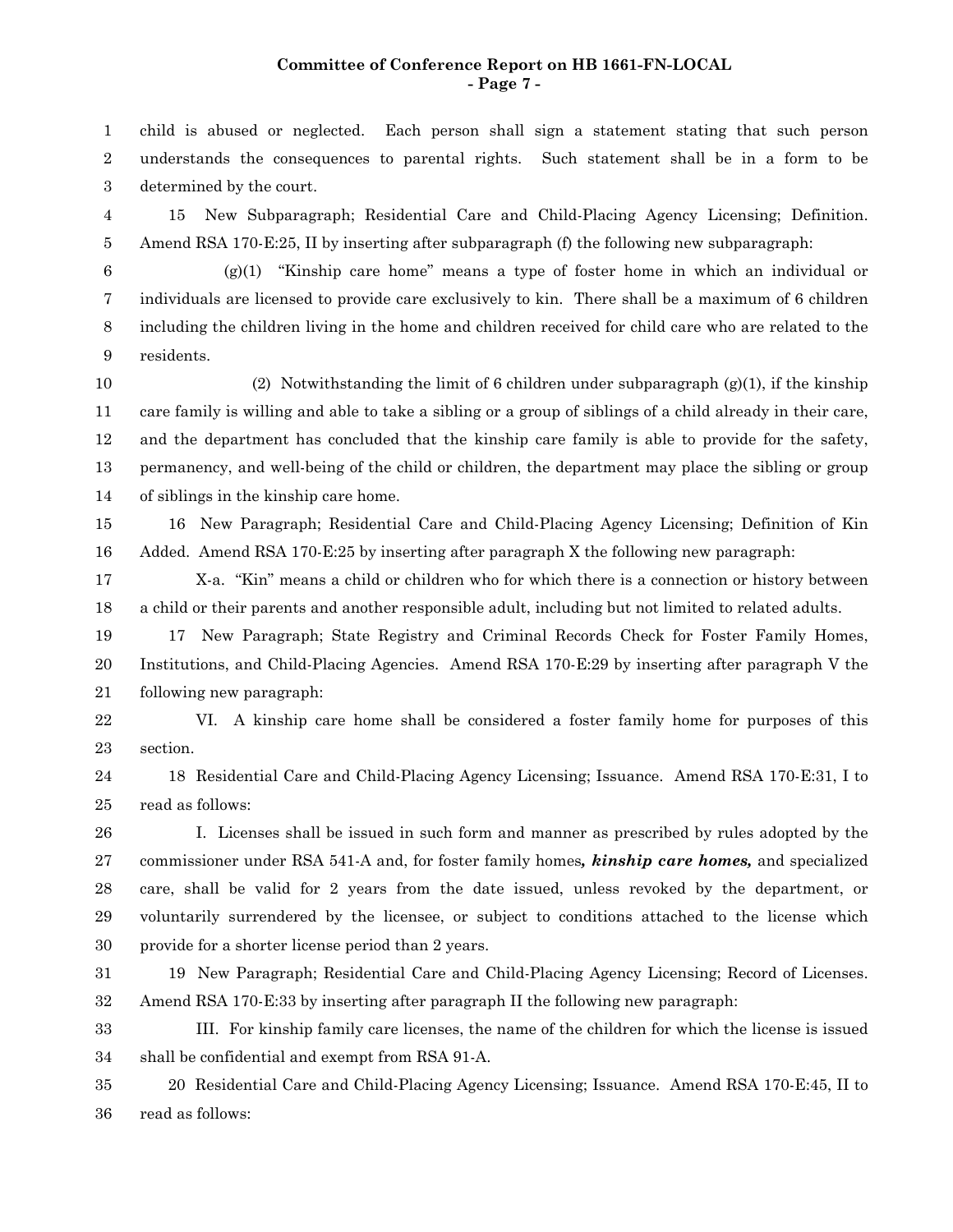#### **Committee of Conference Report on HB 1661-FN-LOCAL - Page 7 -**

child is abused or neglected. Each person shall sign a statement stating that such person understands the consequences to parental rights. Such statement shall be in a form to be determined by the court. 1 2 3

15 New Subparagraph; Residential Care and Child-Placing Agency Licensing; Definition. Amend RSA 170-E:25, II by inserting after subparagraph (f) the following new subparagraph: 4 5

6

 $(g(1)$  "Kinship care home" means a type of foster home in which an individual or individuals are licensed to provide care exclusively to kin. There shall be a maximum of 6 children including the children living in the home and children received for child care who are related to the residents. 7 8 9

(2) Notwithstanding the limit of 6 children under subparagraph  $(g)(1)$ , if the kinship care family is willing and able to take a sibling or a group of siblings of a child already in their care, and the department has concluded that the kinship care family is able to provide for the safety, permanency, and well-being of the child or children, the department may place the sibling or group of siblings in the kinship care home. 10 11 12 13 14

16 New Paragraph; Residential Care and Child-Placing Agency Licensing; Definition of Kin Added. Amend RSA 170-E:25 by inserting after paragraph X the following new paragraph: 15 16

X-a. "Kin" means a child or children who for which there is a connection or history between a child or their parents and another responsible adult, including but not limited to related adults. 17 18

17 New Paragraph; State Registry and Criminal Records Check for Foster Family Homes, Institutions, and Child-Placing Agencies. Amend RSA 170-E:29 by inserting after paragraph V the following new paragraph: 19 20 21

VI. A kinship care home shall be considered a foster family home for purposes of this section. 22 23

18 Residential Care and Child-Placing Agency Licensing; Issuance. Amend RSA 170-E:31, I to read as follows: 24 25

I. Licenses shall be issued in such form and manner as prescribed by rules adopted by the commissioner under RSA 541-A and, for foster family homes*, kinship care homes,* and specialized care, shall be valid for 2 years from the date issued, unless revoked by the department, or voluntarily surrendered by the licensee, or subject to conditions attached to the license which provide for a shorter license period than 2 years. 26 27 28 29 30

19 New Paragraph; Residential Care and Child-Placing Agency Licensing; Record of Licenses. Amend RSA 170-E:33 by inserting after paragraph II the following new paragraph: 31 32

III. For kinship family care licenses, the name of the children for which the license is issued shall be confidential and exempt from RSA 91-A. 33 34

20 Residential Care and Child-Placing Agency Licensing; Issuance. Amend RSA 170-E:45, II to read as follows: 35 36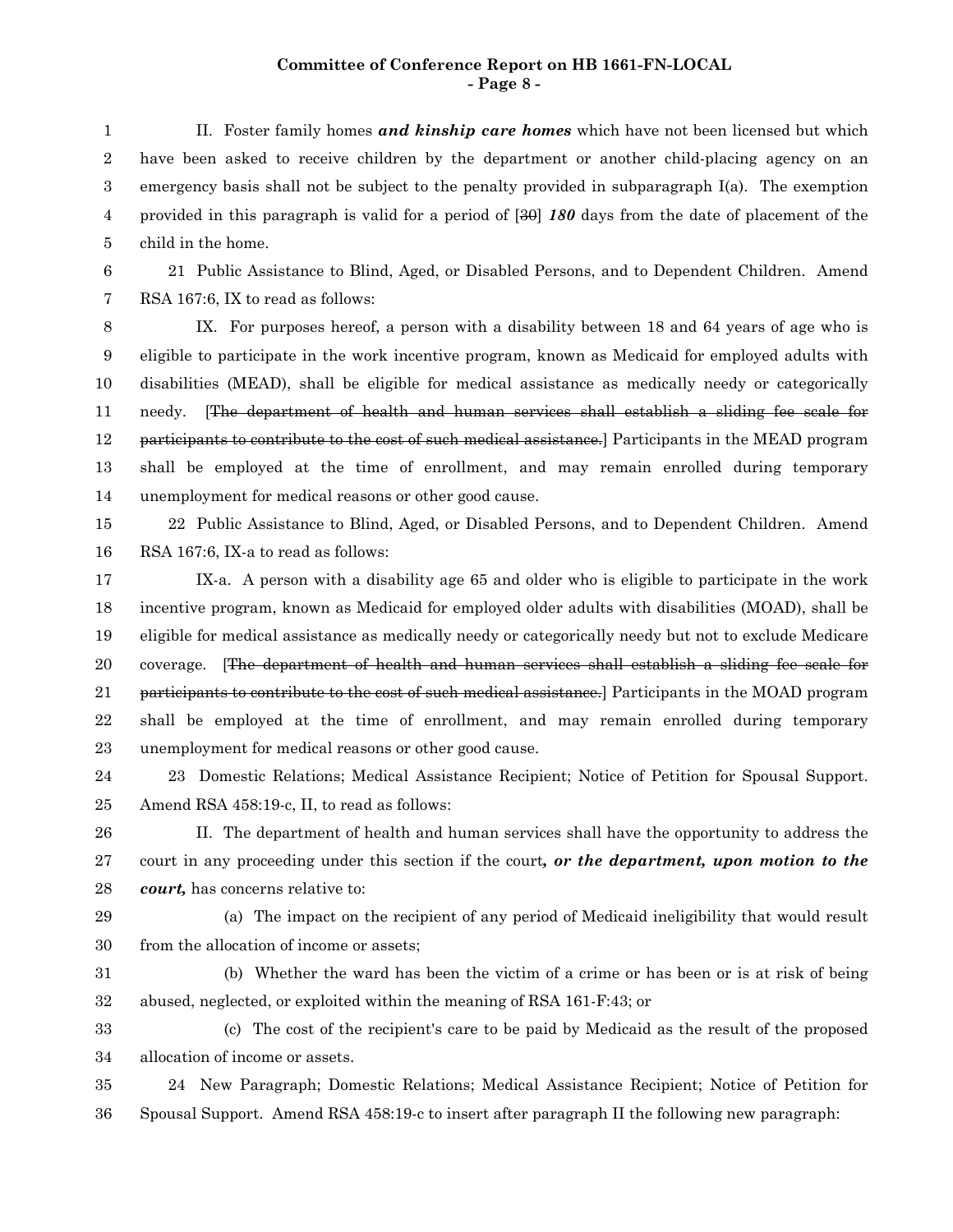#### **Committee of Conference Report on HB 1661-FN-LOCAL - Page 8 -**

II. Foster family homes *and kinship care homes* which have not been licensed but which have been asked to receive children by the department or another child-placing agency on an emergency basis shall not be subject to the penalty provided in subparagraph I(a). The exemption provided in this paragraph is valid for a period of [30] *180* days from the date of placement of the child in the home. 1 2 3 4 5

21 Public Assistance to Blind, Aged, or Disabled Persons, and to Dependent Children. Amend RSA 167:6, IX to read as follows: 6 7

IX. For purposes hereof, a person with a disability between 18 and 64 years of age who is eligible to participate in the work incentive program, known as Medicaid for employed adults with disabilities (MEAD), shall be eligible for medical assistance as medically needy or categorically needy. [The department of health and human services shall establish a sliding fee scale for participants to contribute to the cost of such medical assistance.] Participants in the MEAD program shall be employed at the time of enrollment, and may remain enrolled during temporary unemployment for medical reasons or other good cause. 8 9 10 11 12 13 14

22 Public Assistance to Blind, Aged, or Disabled Persons, and to Dependent Children. Amend RSA 167:6, IX-a to read as follows: 15 16

IX-a. A person with a disability age 65 and older who is eligible to participate in the work incentive program, known as Medicaid for employed older adults with disabilities (MOAD), shall be eligible for medical assistance as medically needy or categorically needy but not to exclude Medicare coverage. [The department of health and human services shall establish a sliding fee scale for participants to contribute to the cost of such medical assistance.] Participants in the MOAD program shall be employed at the time of enrollment, and may remain enrolled during temporary unemployment for medical reasons or other good cause. 17 18 19 20 21 22 23

23 Domestic Relations; Medical Assistance Recipient; Notice of Petition for Spousal Support. Amend RSA 458:19-c, II, to read as follows: 24 25

II. The department of health and human services shall have the opportunity to address the court in any proceeding under this section if the court*, or the department, upon motion to the court,* has concerns relative to: 26 27 28

29

(a) The impact on the recipient of any period of Medicaid ineligibility that would result from the allocation of income or assets; 30

(b) Whether the ward has been the victim of a crime or has been or is at risk of being abused, neglected, or exploited within the meaning of RSA 161-F:43; or 31 32

(c) The cost of the recipient's care to be paid by Medicaid as the result of the proposed allocation of income or assets. 33 34

24 New Paragraph; Domestic Relations; Medical Assistance Recipient; Notice of Petition for Spousal Support. Amend RSA 458:19-c to insert after paragraph II the following new paragraph: 35 36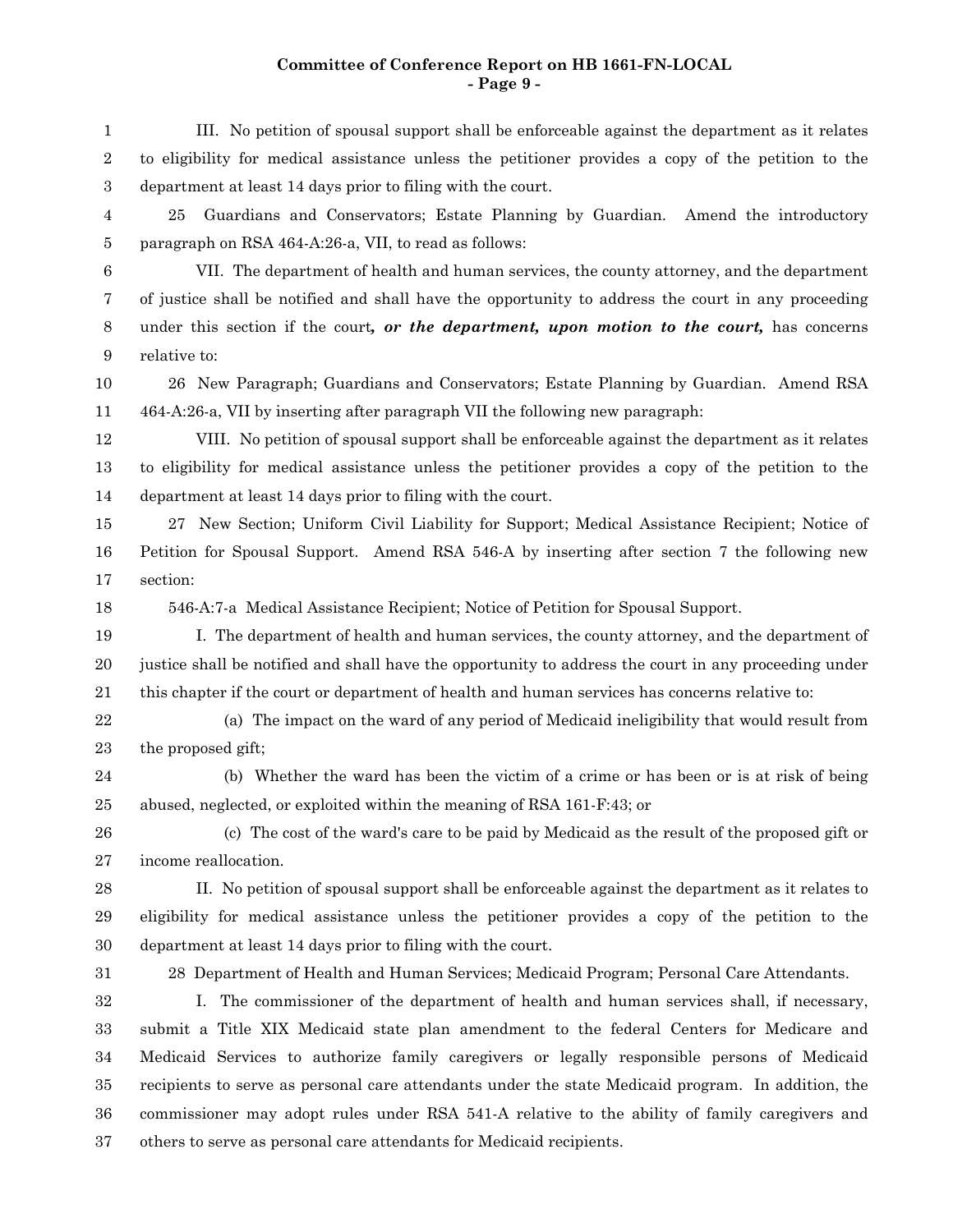# **Committee of Conference Report on HB 1661-FN-LOCAL - Page 9 -**

| 1                | III. No petition of spousal support shall be enforceable against the department as it relates         |
|------------------|-------------------------------------------------------------------------------------------------------|
| $\boldsymbol{2}$ | to eligibility for medical assistance unless the petitioner provides a copy of the petition to the    |
| $\boldsymbol{3}$ | department at least 14 days prior to filing with the court.                                           |
| 4                | Guardians and Conservators; Estate Planning by Guardian. Amend the introductory<br>25                 |
| 5                | paragraph on RSA 464-A:26-a, VII, to read as follows:                                                 |
| 6                | VII. The department of health and human services, the county attorney, and the department             |
| 7                | of justice shall be notified and shall have the opportunity to address the court in any proceeding    |
| 8                | under this section if the court, or the department, upon motion to the court, has concerns            |
| 9                | relative to:                                                                                          |
| 10               | 26 New Paragraph; Guardians and Conservators; Estate Planning by Guardian. Amend RSA                  |
| 11               | 464-A:26-a, VII by inserting after paragraph VII the following new paragraph:                         |
| 12               | VIII. No petition of spousal support shall be enforceable against the department as it relates        |
| 13               | to eligibility for medical assistance unless the petitioner provides a copy of the petition to the    |
| 14               | department at least 14 days prior to filing with the court.                                           |
| 15               | 27 New Section; Uniform Civil Liability for Support; Medical Assistance Recipient; Notice of          |
| 16               | Petition for Spousal Support. Amend RSA 546-A by inserting after section 7 the following new          |
| 17               | section:                                                                                              |
| 18               | 546-A:7-a Medical Assistance Recipient; Notice of Petition for Spousal Support.                       |
| 19               | I. The department of health and human services, the county attorney, and the department of            |
| 20               | justice shall be notified and shall have the opportunity to address the court in any proceeding under |
| 21               | this chapter if the court or department of health and human services has concerns relative to:        |
| $22\,$           | (a) The impact on the ward of any period of Medicaid ineligibility that would result from             |
| 23               | the proposed gift;                                                                                    |
| 24               | (b) Whether the ward has been the victim of a crime or has been or is at risk of being                |
| 25               | abused, neglected, or exploited within the meaning of RSA 161-F:43; or                                |
| ${\bf 26}$       | (c) The cost of the ward's care to be paid by Medicaid as the result of the proposed gift or          |
| $\sqrt{27}$      | income reallocation.                                                                                  |
| $\bf{28}$        | II. No petition of spousal support shall be enforceable against the department as it relates to       |
| 29               | eligibility for medical assistance unless the petitioner provides a copy of the petition to the       |
| $30\,$           | department at least 14 days prior to filing with the court.                                           |
| 31               | 28 Department of Health and Human Services; Medicaid Program; Personal Care Attendants.               |
| $32\,$           | I. The commissioner of the department of health and human services shall, if necessary,               |
| $33\,$           | submit a Title XIX Medicaid state plan amendment to the federal Centers for Medicare and              |
| $34\,$           | Medicaid Services to authorize family caregivers or legally responsible persons of Medicaid           |
| 35               | recipients to serve as personal care attendants under the state Medicaid program. In addition, the    |
| 36               | commissioner may adopt rules under RSA 541-A relative to the ability of family caregivers and         |
| 37               | others to serve as personal care attendants for Medicaid recipients.                                  |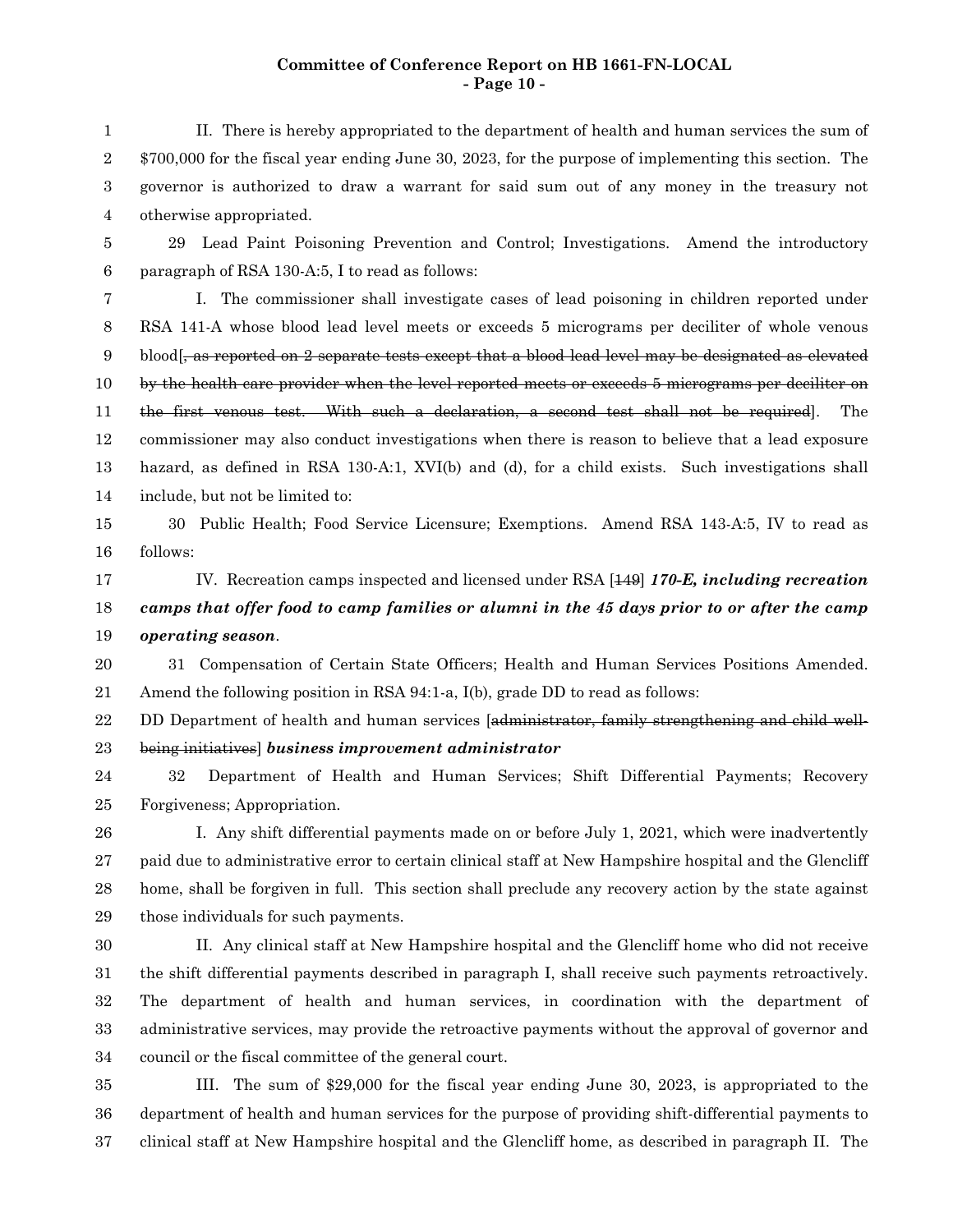# **Committee of Conference Report on HB 1661-FN-LOCAL - Page 10 -**

| $\mathbf{1}$   | II. There is hereby appropriated to the department of health and human services the sum of                                                       |
|----------------|--------------------------------------------------------------------------------------------------------------------------------------------------|
| 2              | \$700,000 for the fiscal year ending June 30, 2023, for the purpose of implementing this section. The                                            |
| 3              | governor is authorized to draw a warrant for said sum out of any money in the treasury not                                                       |
| $\overline{4}$ | otherwise appropriated.                                                                                                                          |
| 5              | Lead Paint Poisoning Prevention and Control; Investigations. Amend the introductory<br>29                                                        |
| 6              | paragraph of RSA 130-A:5, I to read as follows:                                                                                                  |
| 7              | I. The commissioner shall investigate cases of lead poisoning in children reported under                                                         |
| 8              | RSA 141-A whose blood lead level meets or exceeds 5 micrograms per deciliter of whole venous                                                     |
| 9              | $\boldsymbol{\lambda}$ blood $\boldsymbol{\beta}$ , as reported on 2 separate tests except that a blood lead level may be designated as elevated |
| 10             | by the health care provider when the level reported meets or exceeds 5 micrograms per deciliter on                                               |
| 11             | the first venous test. With such a declaration, a second test shall not be required.<br>The                                                      |
| 12             | commissioner may also conduct investigations when there is reason to believe that a lead exposure                                                |
| 13             | hazard, as defined in RSA 130-A:1, XVI(b) and (d), for a child exists. Such investigations shall                                                 |
| 14             | include, but not be limited to:                                                                                                                  |
| 15             | 30 Public Health; Food Service Licensure; Exemptions. Amend RSA 143-A:5, IV to read as                                                           |
| 16             | follows:                                                                                                                                         |
| 17             | IV. Recreation camps inspected and licensed under RSA [149] 170-E, including recreation                                                          |
| 18             | camps that offer food to camp families or alumni in the 45 days prior to or after the camp                                                       |
|                |                                                                                                                                                  |
| 19             | operating season.                                                                                                                                |
| 20             | 31 Compensation of Certain State Officers; Health and Human Services Positions Amended.                                                          |
| 21             | Amend the following position in RSA $94:1$ -a, $I(b)$ , grade DD to read as follows:                                                             |
| 22             | DD Department of health and human services [administrator, family strengthening and child well-                                                  |
| 23             | being initiatives] business improvement administrator                                                                                            |
| 24             | Department of Health and Human Services; Shift Differential Payments; Recovery<br>32                                                             |
| 25             | Forgiveness; Appropriation.                                                                                                                      |
| 26             | I. Any shift differential payments made on or before July 1, 2021, which were inadvertently                                                      |
| 27             | paid due to administrative error to certain clinical staff at New Hampshire hospital and the Glencliff                                           |
| 28             | home, shall be forgiven in full. This section shall preclude any recovery action by the state against                                            |
| 29             | those individuals for such payments.                                                                                                             |
| 30             | II. Any clinical staff at New Hampshire hospital and the Glencliff home who did not receive                                                      |
| 31             | the shift differential payments described in paragraph I, shall receive such payments retroactively.                                             |
| 32             | The department of health and human services, in coordination with the department of                                                              |
| 33             | administrative services, may provide the retroactive payments without the approval of governor and                                               |
| 34             | council or the fiscal committee of the general court.                                                                                            |
| 35             | III. The sum of \$29,000 for the fiscal year ending June 30, 2023, is appropriated to the                                                        |

clinical staff at New Hampshire hospital and the Glencliff home, as described in paragraph II. The 37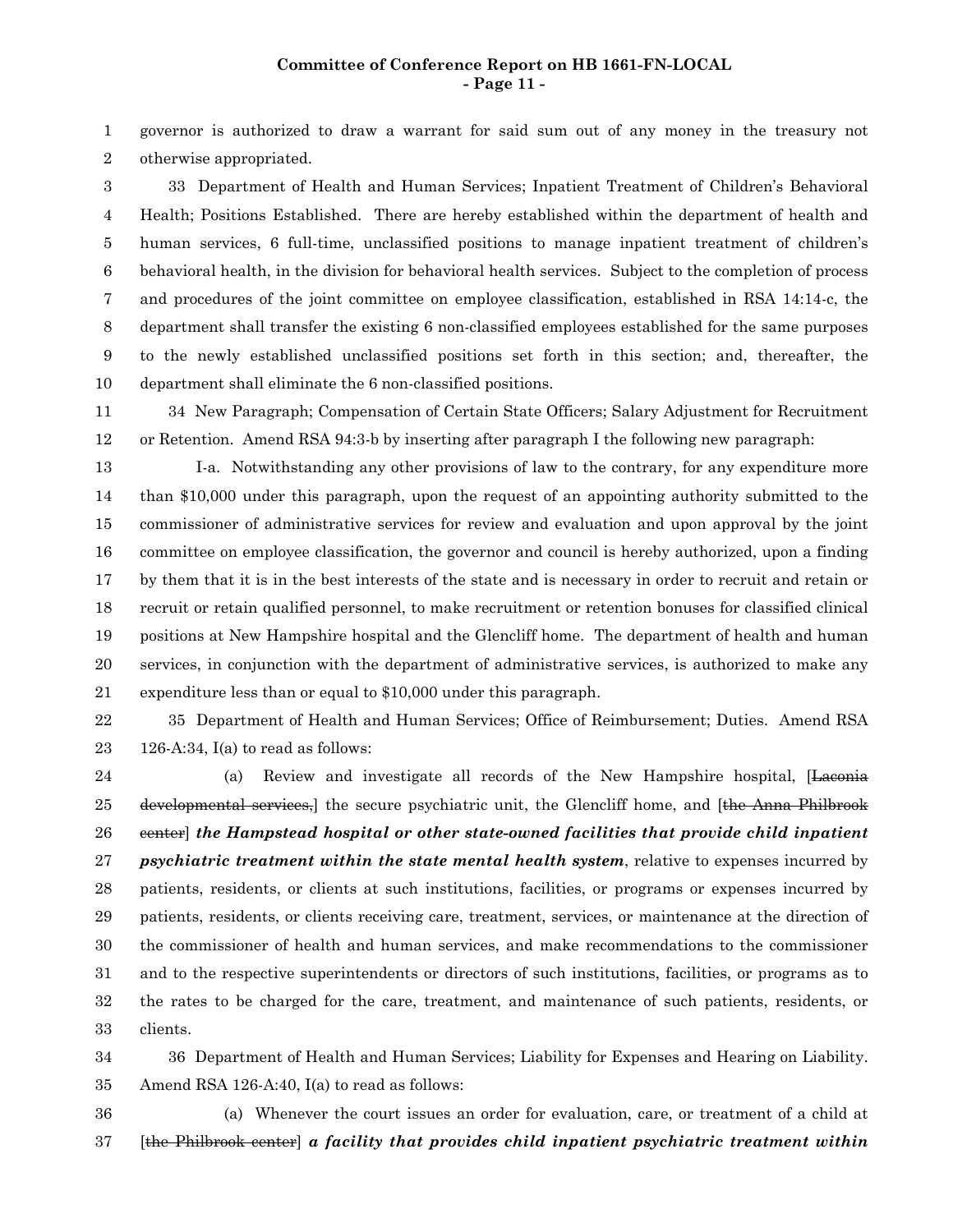# **Committee of Conference Report on HB 1661-FN-LOCAL - Page 11 -**

governor is authorized to draw a warrant for said sum out of any money in the treasury not otherwise appropriated. 1 2

33 Department of Health and Human Services; Inpatient Treatment of Children's Behavioral Health; Positions Established. There are hereby established within the department of health and human services, 6 full-time, unclassified positions to manage inpatient treatment of children's behavioral health, in the division for behavioral health services. Subject to the completion of process and procedures of the joint committee on employee classification, established in RSA 14:14-c, the department shall transfer the existing 6 non-classified employees established for the same purposes to the newly established unclassified positions set forth in this section; and, thereafter, the department shall eliminate the 6 non-classified positions. 3 4 5 6 7 8 9 10

34 New Paragraph; Compensation of Certain State Officers; Salary Adjustment for Recruitment or Retention. Amend RSA 94:3-b by inserting after paragraph I the following new paragraph: 11 12

I-a. Notwithstanding any other provisions of law to the contrary, for any expenditure more than \$10,000 under this paragraph, upon the request of an appointing authority submitted to the commissioner of administrative services for review and evaluation and upon approval by the joint committee on employee classification, the governor and council is hereby authorized, upon a finding by them that it is in the best interests of the state and is necessary in order to recruit and retain or recruit or retain qualified personnel, to make recruitment or retention bonuses for classified clinical positions at New Hampshire hospital and the Glencliff home. The department of health and human services, in conjunction with the department of administrative services, is authorized to make any expenditure less than or equal to \$10,000 under this paragraph. 13 14 15 16 17 18 19 20 21

35 Department of Health and Human Services; Office of Reimbursement; Duties. Amend RSA 126-A:34,  $I(a)$  to read as follows: 22 23

(a) Review and investigate all records of the New Hampshire hospital, [Laconia developmental services, the secure psychiatric unit, the Glencliff home, and [the Anna Philbrook center] *the Hampstead hospital or other state-owned facilities that provide child inpatient psychiatric treatment within the state mental health system*, relative to expenses incurred by patients, residents, or clients at such institutions, facilities, or programs or expenses incurred by patients, residents, or clients receiving care, treatment, services, or maintenance at the direction of the commissioner of health and human services, and make recommendations to the commissioner and to the respective superintendents or directors of such institutions, facilities, or programs as to the rates to be charged for the care, treatment, and maintenance of such patients, residents, or clients. 24 25 26 27 28 29 30 31 32 33

36 Department of Health and Human Services; Liability for Expenses and Hearing on Liability. Amend RSA 126-A:40, I(a) to read as follows: 34 35

(a) Whenever the court issues an order for evaluation, care, or treatment of a child at [the Philbrook center] *a facility that provides child inpatient psychiatric treatment within* 36 37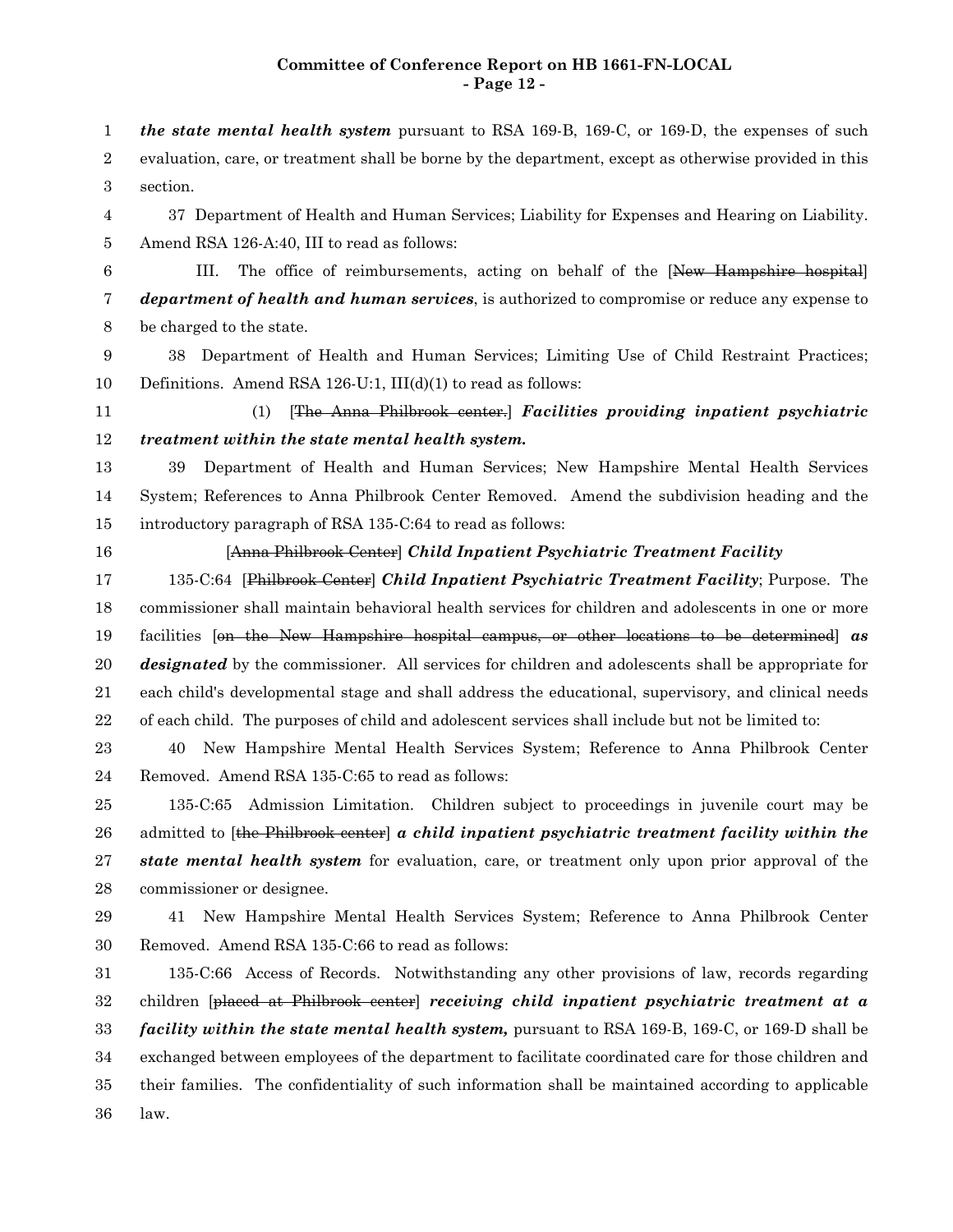## **Committee of Conference Report on HB 1661-FN-LOCAL - Page 12 -**

*the state mental health system* pursuant to RSA 169-B, 169-C, or 169-D, the expenses of such evaluation, care, or treatment shall be borne by the department, except as otherwise provided in this section. 37 Department of Health and Human Services; Liability for Expenses and Hearing on Liability. Amend RSA 126-A:40, III to read as follows: III. The office of reimbursements, acting on behalf of the [New Hampshire hospital] *department of health and human services*, is authorized to compromise or reduce any expense to be charged to the state. 38 Department of Health and Human Services; Limiting Use of Child Restraint Practices; Definitions. Amend RSA 126-U:1, III(d)(1) to read as follows: (1) [The Anna Philbrook center.] *Facilities providing inpatient psychiatric treatment within the state mental health system.* 39 Department of Health and Human Services; New Hampshire Mental Health Services System; References to Anna Philbrook Center Removed. Amend the subdivision heading and the introductory paragraph of RSA 135-C:64 to read as follows: [Anna Philbrook Center] *Child Inpatient Psychiatric Treatment Facility* 135-C:64 [Philbrook Center] *Child Inpatient Psychiatric Treatment Facility*; Purpose. The commissioner shall maintain behavioral health services for children and adolescents in one or more facilities [on the New Hampshire hospital campus, or other locations to be determined] *as designated* by the commissioner. All services for children and adolescents shall be appropriate for each child's developmental stage and shall address the educational, supervisory, and clinical needs of each child. The purposes of child and adolescent services shall include but not be limited to: 40 New Hampshire Mental Health Services System; Reference to Anna Philbrook Center Removed. Amend RSA 135-C:65 to read as follows: 135-C:65 Admission Limitation. Children subject to proceedings in juvenile court may be admitted to [the Philbrook center] *a child inpatient psychiatric treatment facility within the state mental health system* for evaluation, care, or treatment only upon prior approval of the commissioner or designee. 41 New Hampshire Mental Health Services System; Reference to Anna Philbrook Center Removed. Amend RSA 135-C:66 to read as follows: 135-C:66 Access of Records. Notwithstanding any other provisions of law, records regarding children [placed at Philbrook center] *receiving child inpatient psychiatric treatment at a facility within the state mental health system,* pursuant to RSA 169-B, 169-C, or 169-D shall be exchanged between employees of the department to facilitate coordinated care for those children and their families. The confidentiality of such information shall be maintained according to applicable 1 2 3 4 5 6 7 8 9 10 11 12 13 14 15 16 17 18 19 20 21 22 23 24 25 26 27 28 29 30 31 32 33 34 35

law. 36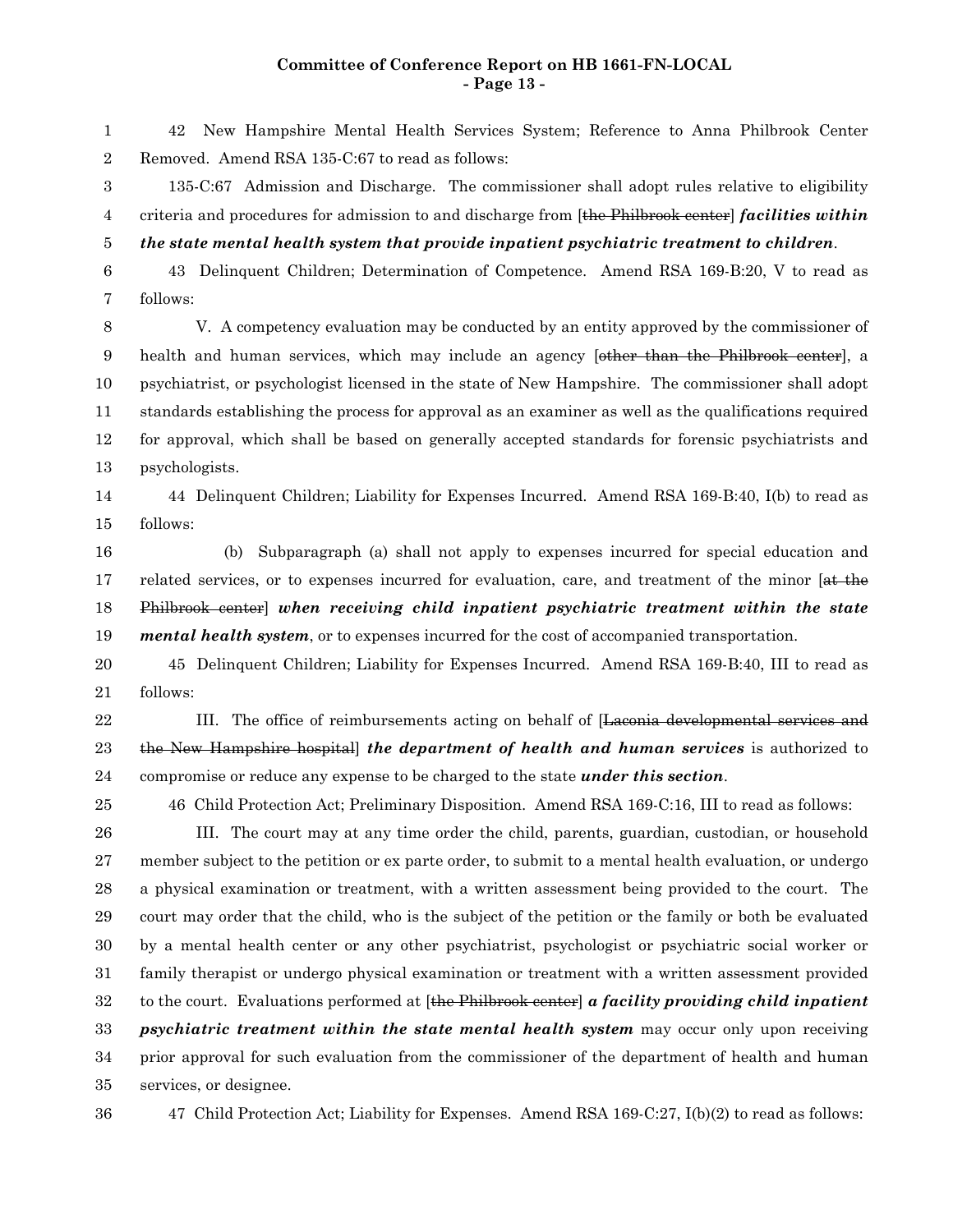#### **Committee of Conference Report on HB 1661-FN-LOCAL - Page 13 -**

42 New Hampshire Mental Health Services System; Reference to Anna Philbrook Center Removed. Amend RSA 135-C:67 to read as follows: 1 2

135-C:67 Admission and Discharge. The commissioner shall adopt rules relative to eligibility criteria and procedures for admission to and discharge from [the Philbrook center] *facilities within* 3 4

*the state mental health system that provide inpatient psychiatric treatment to children*. 5

43 Delinquent Children; Determination of Competence. Amend RSA 169-B:20, V to read as follows: 6 7

V. A competency evaluation may be conducted by an entity approved by the commissioner of health and human services, which may include an agency *[other than the Philbrook center*], a psychiatrist, or psychologist licensed in the state of New Hampshire. The commissioner shall adopt standards establishing the process for approval as an examiner as well as the qualifications required for approval, which shall be based on generally accepted standards for forensic psychiatrists and psychologists. 8 9 10 11 12 13

44 Delinquent Children; Liability for Expenses Incurred. Amend RSA 169-B:40, I(b) to read as follows: 14 15

(b) Subparagraph (a) shall not apply to expenses incurred for special education and related services, or to expenses incurred for evaluation, care, and treatment of the minor [at the Philbrook center] *when receiving child inpatient psychiatric treatment within the state mental health system*, or to expenses incurred for the cost of accompanied transportation. 16 17 18 19

45 Delinquent Children; Liability for Expenses Incurred. Amend RSA 169-B:40, III to read as follows: 20 21

III. The office of reimbursements acting on behalf of [Laconia developmental services and the New Hampshire hospital] *the department of health and human services* is authorized to compromise or reduce any expense to be charged to the state *under this section*. 22 23 24

46 Child Protection Act; Preliminary Disposition. Amend RSA 169-C:16, III to read as follows:

III. The court may at any time order the child, parents, guardian, custodian, or household member subject to the petition or ex parte order, to submit to a mental health evaluation, or undergo a physical examination or treatment, with a written assessment being provided to the court. The court may order that the child, who is the subject of the petition or the family or both be evaluated by a mental health center or any other psychiatrist, psychologist or psychiatric social worker or family therapist or undergo physical examination or treatment with a written assessment provided to the court. Evaluations performed at [the Philbrook center] *a facility providing child inpatient psychiatric treatment within the state mental health system* may occur only upon receiving prior approval for such evaluation from the commissioner of the department of health and human services, or designee. 26 27 28 29 30 31 32 33 34 35

36

25

47 Child Protection Act; Liability for Expenses. Amend RSA 169-C:27, I(b)(2) to read as follows: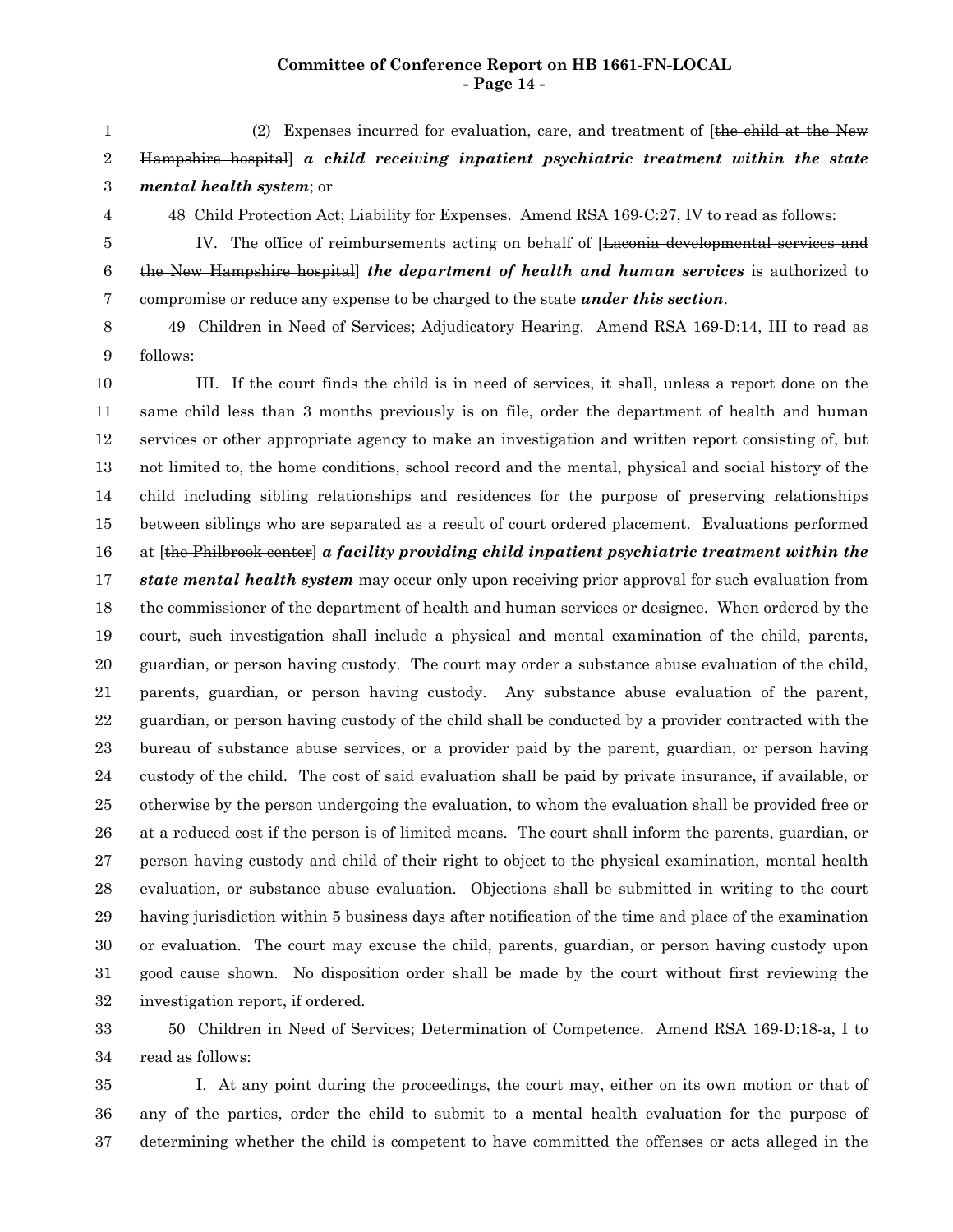## **Committee of Conference Report on HB 1661-FN-LOCAL - Page 14 -**

(2) Expenses incurred for evaluation, care, and treatment of [the child at the New Hampshire hospital] *a child receiving inpatient psychiatric treatment within the state mental health system*; or 1 2 3

4

48 Child Protection Act; Liability for Expenses. Amend RSA 169-C:27, IV to read as follows:

IV. The office of reimbursements acting on behalf of [Laconia developmental services and the New Hampshire hospital] *the department of health and human services* is authorized to compromise or reduce any expense to be charged to the state *under this section*. 5 6 7

49 Children in Need of Services; Adjudicatory Hearing. Amend RSA 169-D:14, III to read as follows: 8 9

III. If the court finds the child is in need of services, it shall, unless a report done on the same child less than 3 months previously is on file, order the department of health and human services or other appropriate agency to make an investigation and written report consisting of, but not limited to, the home conditions, school record and the mental, physical and social history of the child including sibling relationships and residences for the purpose of preserving relationships between siblings who are separated as a result of court ordered placement. Evaluations performed at [the Philbrook center] *a facility providing child inpatient psychiatric treatment within the state mental health system* may occur only upon receiving prior approval for such evaluation from the commissioner of the department of health and human services or designee. When ordered by the court, such investigation shall include a physical and mental examination of the child, parents, guardian, or person having custody. The court may order a substance abuse evaluation of the child, parents, guardian, or person having custody. Any substance abuse evaluation of the parent, guardian, or person having custody of the child shall be conducted by a provider contracted with the bureau of substance abuse services, or a provider paid by the parent, guardian, or person having custody of the child. The cost of said evaluation shall be paid by private insurance, if available, or otherwise by the person undergoing the evaluation, to whom the evaluation shall be provided free or at a reduced cost if the person is of limited means. The court shall inform the parents, guardian, or person having custody and child of their right to object to the physical examination, mental health evaluation, or substance abuse evaluation. Objections shall be submitted in writing to the court having jurisdiction within 5 business days after notification of the time and place of the examination or evaluation. The court may excuse the child, parents, guardian, or person having custody upon good cause shown. No disposition order shall be made by the court without first reviewing the investigation report, if ordered. 10 11 12 13 14 15 16 17 18 19 20 21 22 23 24 25 26 27 28 29 30 31 32

50 Children in Need of Services; Determination of Competence. Amend RSA 169-D:18-a, I to read as follows: 33 34

I. At any point during the proceedings, the court may, either on its own motion or that of any of the parties, order the child to submit to a mental health evaluation for the purpose of determining whether the child is competent to have committed the offenses or acts alleged in the 35 36 37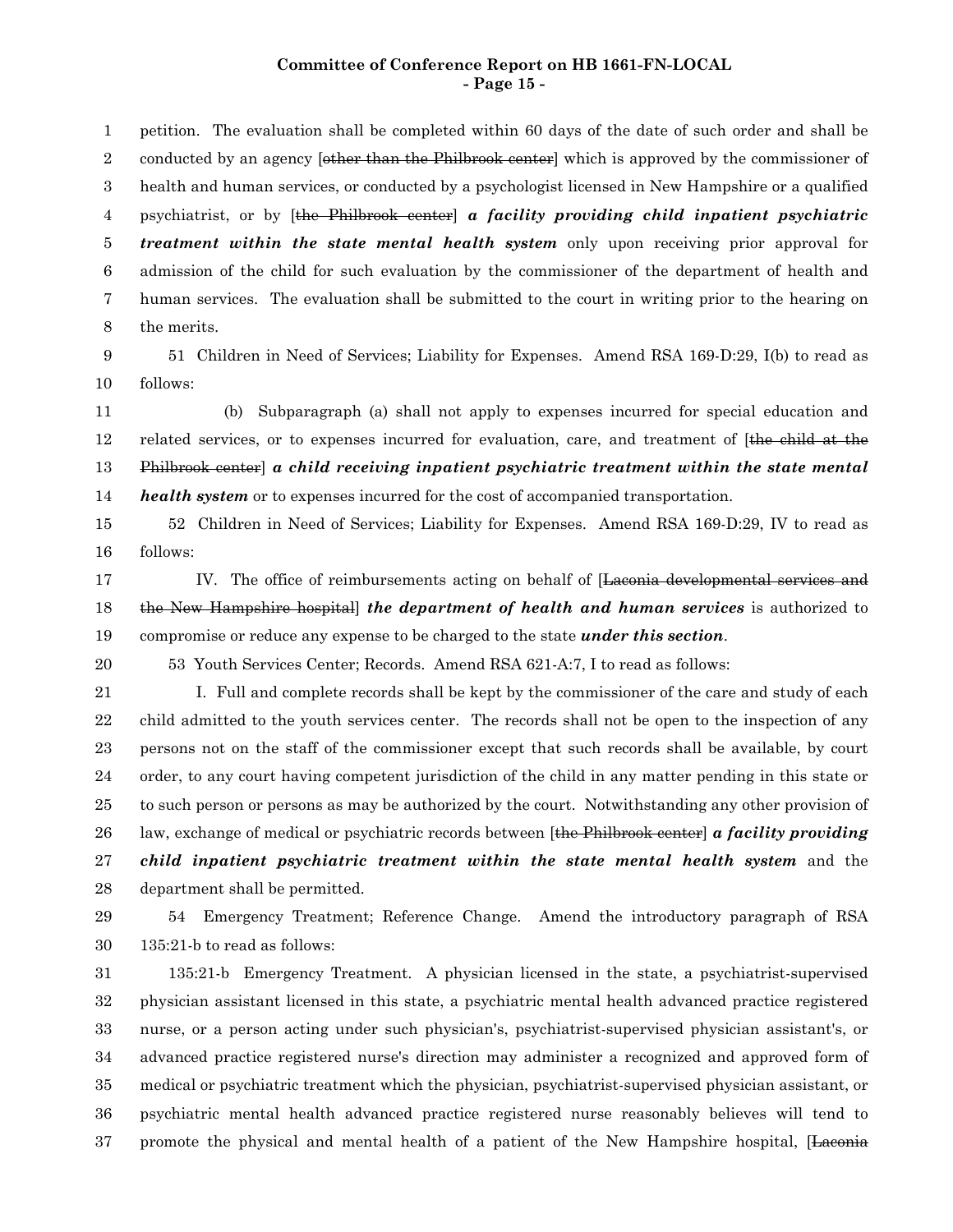#### **Committee of Conference Report on HB 1661-FN-LOCAL - Page 15 -**

petition. The evaluation shall be completed within 60 days of the date of such order and shall be conducted by an agency *[other than the Philbrook center]* which is approved by the commissioner of health and human services, or conducted by a psychologist licensed in New Hampshire or a qualified psychiatrist, or by [the Philbrook center] *a facility providing child inpatient psychiatric treatment within the state mental health system* only upon receiving prior approval for admission of the child for such evaluation by the commissioner of the department of health and human services. The evaluation shall be submitted to the court in writing prior to the hearing on the merits. 1 2 3 4 5 6 7 8

51 Children in Need of Services; Liability for Expenses. Amend RSA 169-D:29, I(b) to read as follows: 9 10

(b) Subparagraph (a) shall not apply to expenses incurred for special education and related services, or to expenses incurred for evaluation, care, and treatment of [the child at the Philbrook center] *a child receiving inpatient psychiatric treatment within the state mental health system* or to expenses incurred for the cost of accompanied transportation. 11 12 13 14

52 Children in Need of Services; Liability for Expenses. Amend RSA 169-D:29, IV to read as follows: 15 16

- IV. The office of reimbursements acting on behalf of [Laconia developmental services and the New Hampshire hospital] *the department of health and human services* is authorized to compromise or reduce any expense to be charged to the state *under this section*. 17 18 19
- 53 Youth Services Center; Records. Amend RSA 621-A:7, I to read as follows: 20

I. Full and complete records shall be kept by the commissioner of the care and study of each child admitted to the youth services center. The records shall not be open to the inspection of any persons not on the staff of the commissioner except that such records shall be available, by court order, to any court having competent jurisdiction of the child in any matter pending in this state or to such person or persons as may be authorized by the court. Notwithstanding any other provision of law, exchange of medical or psychiatric records between [the Philbrook center] *a facility providing child inpatient psychiatric treatment within the state mental health system* and the department shall be permitted. 21 22 23 24 25 26 27 28

29 30

54 Emergency Treatment; Reference Change. Amend the introductory paragraph of RSA 135:21-b to read as follows:

135:21-b Emergency Treatment. A physician licensed in the state, a psychiatrist-supervised physician assistant licensed in this state, a psychiatric mental health advanced practice registered nurse, or a person acting under such physician's, psychiatrist-supervised physician assistant's, or advanced practice registered nurse's direction may administer a recognized and approved form of medical or psychiatric treatment which the physician, psychiatrist-supervised physician assistant, or psychiatric mental health advanced practice registered nurse reasonably believes will tend to promote the physical and mental health of a patient of the New Hampshire hospital, [Laconia 31 32 33 34 35 36 37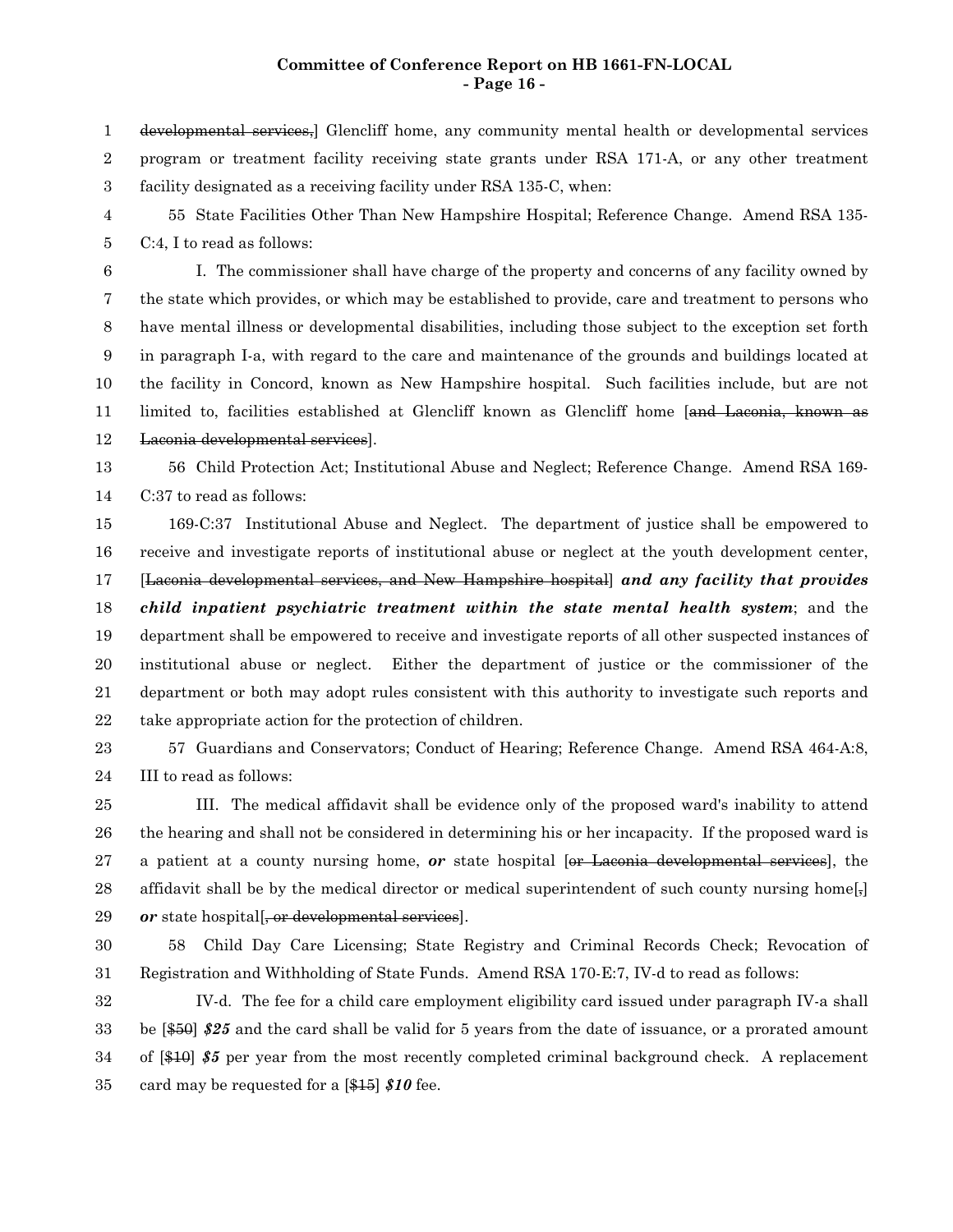### **Committee of Conference Report on HB 1661-FN-LOCAL - Page 16 -**

developmental services,] Glencliff home, any community mental health or developmental services program or treatment facility receiving state grants under RSA 171-A, or any other treatment facility designated as a receiving facility under RSA 135-C, when: 1 2 3

55 State Facilities Other Than New Hampshire Hospital; Reference Change. Amend RSA 135- C:4, I to read as follows: 4 5

I. The commissioner shall have charge of the property and concerns of any facility owned by the state which provides, or which may be established to provide, care and treatment to persons who have mental illness or developmental disabilities, including those subject to the exception set forth in paragraph I-a, with regard to the care and maintenance of the grounds and buildings located at the facility in Concord, known as New Hampshire hospital. Such facilities include, but are not limited to, facilities established at Glencliff known as Glencliff home [and Laconia, known as Laconia developmental services]. 6 7 8 9 10 11 12

56 Child Protection Act; Institutional Abuse and Neglect; Reference Change. Amend RSA 169- C:37 to read as follows: 13 14

169-C:37 Institutional Abuse and Neglect. The department of justice shall be empowered to receive and investigate reports of institutional abuse or neglect at the youth development center, [Laconia developmental services, and New Hampshire hospital] *and any facility that provides child inpatient psychiatric treatment within the state mental health system*; and the department shall be empowered to receive and investigate reports of all other suspected instances of institutional abuse or neglect. Either the department of justice or the commissioner of the department or both may adopt rules consistent with this authority to investigate such reports and take appropriate action for the protection of children. 15 16 17 18 19 20 21 22

57 Guardians and Conservators; Conduct of Hearing; Reference Change. Amend RSA 464-A:8, III to read as follows: 23 24

III. The medical affidavit shall be evidence only of the proposed ward's inability to attend the hearing and shall not be considered in determining his or her incapacity. If the proposed ward is a patient at a county nursing home, *or* state hospital [or Laconia developmental services], the affidavit shall be by the medical director or medical superintendent of such county nursing home $\lceil \cdot \rceil$ or state hospital <del>or developmental services</del>. 25 26 27 28 29

30

58 Child Day Care Licensing; State Registry and Criminal Records Check; Revocation of Registration and Withholding of State Funds. Amend RSA 170-E:7, IV-d to read as follows: 31

IV-d. The fee for a child care employment eligibility card issued under paragraph IV-a shall be [\$50] *\$25* and the card shall be valid for 5 years from the date of issuance, or a prorated amount of [\$10] *\$5* per year from the most recently completed criminal background check. A replacement card may be requested for a [\$15] *\$10* fee. 32 33 34 35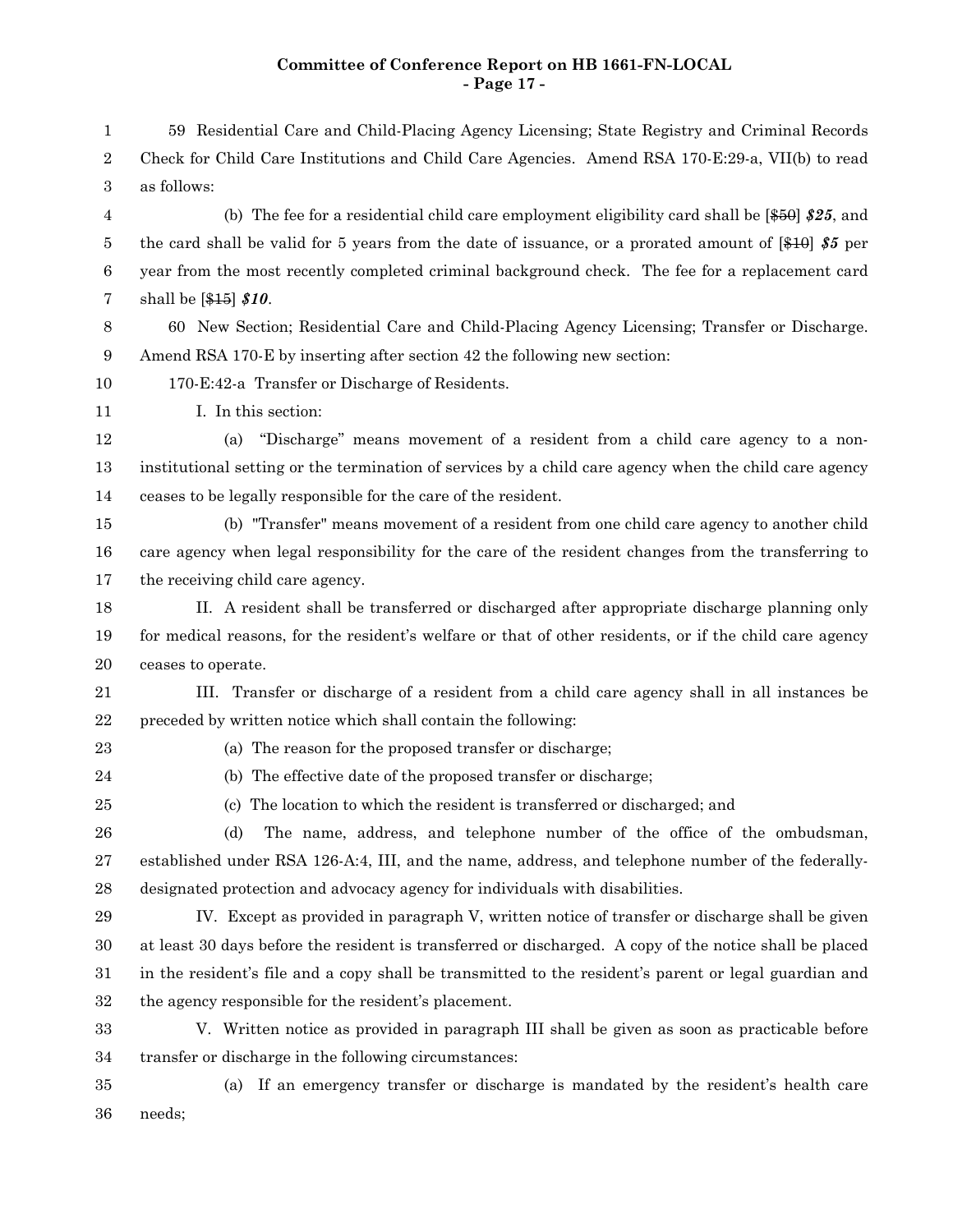# **Committee of Conference Report on HB 1661-FN-LOCAL - Page 17 -**

| $\mathbf 1$      | 59 Residential Care and Child-Placing Agency Licensing; State Registry and Criminal Records                       |
|------------------|-------------------------------------------------------------------------------------------------------------------|
| 2                | Check for Child Care Institutions and Child Care Agencies. Amend RSA 170-E:29-a, VII(b) to read                   |
| 3                | as follows:                                                                                                       |
| 4                | (b) The fee for a residential child care employment eligibility card shall be $[450]$ \$25, and                   |
| 5                | the card shall be valid for 5 years from the date of issuance, or a prorated amount of $\left[410\right]$ \$5 per |
| $\boldsymbol{6}$ | year from the most recently completed criminal background check. The fee for a replacement card                   |
| 7                | shall be $[415]$ \$10.                                                                                            |
| $8\,$            | 60 New Section; Residential Care and Child-Placing Agency Licensing; Transfer or Discharge.                       |
| 9                | Amend RSA 170-E by inserting after section 42 the following new section:                                          |
| 10               | 170-E:42-a Transfer or Discharge of Residents.                                                                    |
| 11               | I. In this section:                                                                                               |
| 12               | "Discharge" means movement of a resident from a child care agency to a non-<br>(a)                                |
| 13               | institutional setting or the termination of services by a child care agency when the child care agency            |
| 14               | ceases to be legally responsible for the care of the resident.                                                    |
| 15               | (b) "Transfer" means movement of a resident from one child care agency to another child                           |
| 16               | care agency when legal responsibility for the care of the resident changes from the transferring to               |
| 17               | the receiving child care agency.                                                                                  |
| 18               | II. A resident shall be transferred or discharged after appropriate discharge planning only                       |
| 19               | for medical reasons, for the resident's welfare or that of other residents, or if the child care agency           |
| 20               | ceases to operate.                                                                                                |
| 21               | III. Transfer or discharge of a resident from a child care agency shall in all instances be                       |
| $\bf 22$         | preceded by written notice which shall contain the following:                                                     |
| 23               | (a) The reason for the proposed transfer or discharge;                                                            |
| 24               | (b) The effective date of the proposed transfer or discharge;                                                     |
| 25               | (c) The location to which the resident is transferred or discharged; and                                          |
| 26               | The name, address, and telephone number of the office of the ombudsman,<br>(d)                                    |
| $\sqrt{27}$      | established under RSA 126-A:4, III, and the name, address, and telephone number of the federally-                 |
| 28               | designated protection and advocacy agency for individuals with disabilities.                                      |
| 29               | IV. Except as provided in paragraph V, written notice of transfer or discharge shall be given                     |
| 30               | at least 30 days before the resident is transferred or discharged. A copy of the notice shall be placed           |
| 31               | in the resident's file and a copy shall be transmitted to the resident's parent or legal guardian and             |
| 32               | the agency responsible for the resident's placement.                                                              |
| 33               | V. Written notice as provided in paragraph III shall be given as soon as practicable before                       |
| 34               | transfer or discharge in the following circumstances:                                                             |
| 35               | If an emergency transfer or discharge is mandated by the resident's health care<br>(a)                            |

needs; 36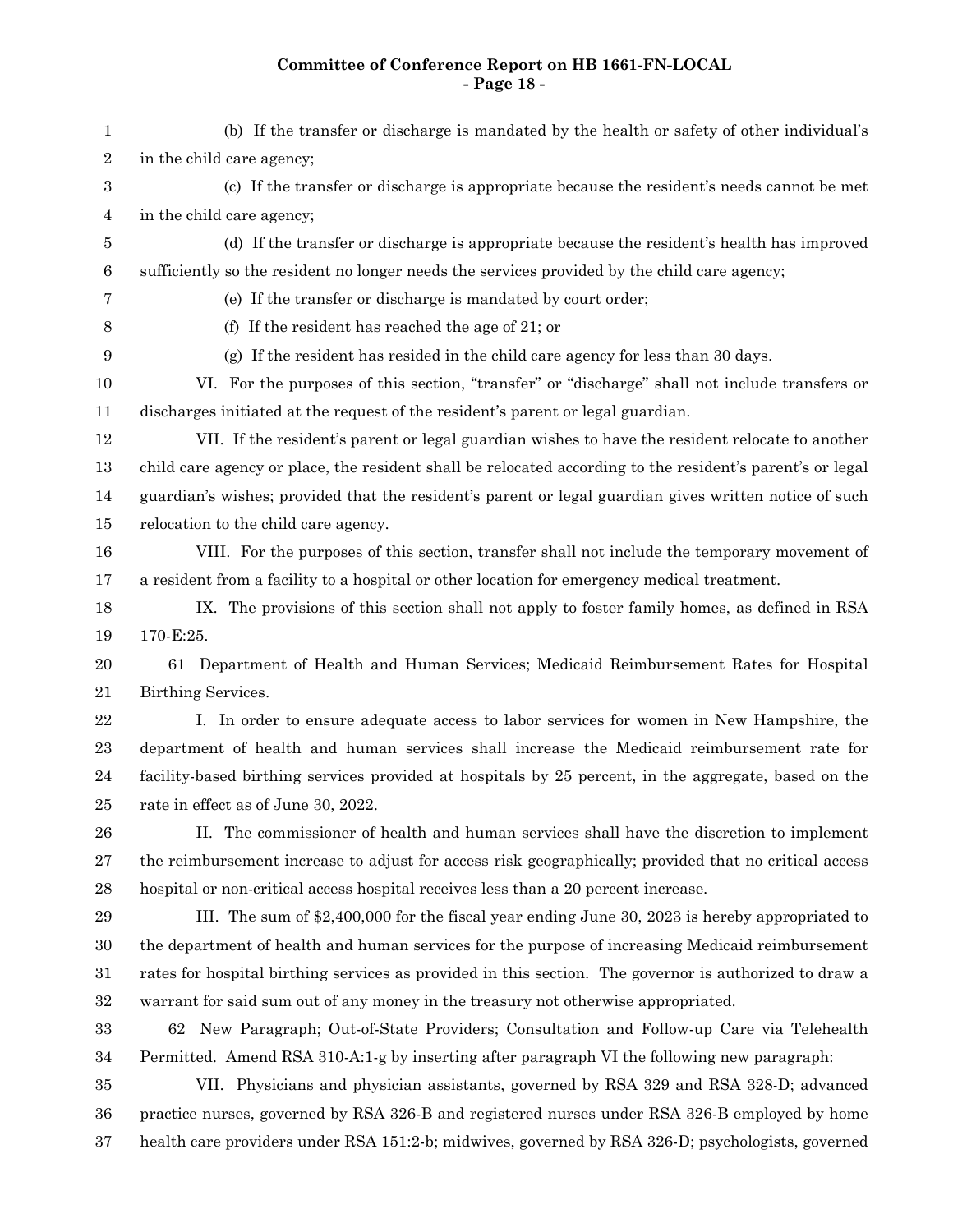# **Committee of Conference Report on HB 1661-FN-LOCAL - Page 18 -**

| $\mathbf{1}$ | (b) If the transfer or discharge is mandated by the health or safety of other individual's                |
|--------------|-----------------------------------------------------------------------------------------------------------|
| $\,2$        | in the child care agency;                                                                                 |
| $\,3$        | (c) If the transfer or discharge is appropriate because the resident's needs cannot be met                |
| 4            | in the child care agency;                                                                                 |
| 5            | (d) If the transfer or discharge is appropriate because the resident's health has improved                |
| $\,6$        | sufficiently so the resident no longer needs the services provided by the child care agency;              |
| 7            | (e) If the transfer or discharge is mandated by court order;                                              |
| 8            | (f) If the resident has reached the age of $21$ ; or                                                      |
| 9            | (g) If the resident has resided in the child care agency for less than 30 days.                           |
| 10           | VI. For the purposes of this section, "transfer" or "discharge" shall not include transfers or            |
| 11           | discharges initiated at the request of the resident's parent or legal guardian.                           |
| 12           | VII. If the resident's parent or legal guardian wishes to have the resident relocate to another           |
| 13           | child care agency or place, the resident shall be relocated according to the resident's parent's or legal |
| 14           | guardian's wishes; provided that the resident's parent or legal guardian gives written notice of such     |
| 15           | relocation to the child care agency.                                                                      |
| 16           | VIII. For the purposes of this section, transfer shall not include the temporary movement of              |
| 17           | a resident from a facility to a hospital or other location for emergency medical treatment.               |
| 18           | IX. The provisions of this section shall not apply to foster family homes, as defined in RSA              |
| 19           | 170-E:25.                                                                                                 |
| $20\,$       | 61 Department of Health and Human Services; Medicaid Reimbursement Rates for Hospital                     |
| 21           | Birthing Services.                                                                                        |
| $22\,$       | I. In order to ensure adequate access to labor services for women in New Hampshire, the                   |
| $\bf 23$     | department of health and human services shall increase the Medicaid reimbursement rate for                |
| $\bf{24}$    | facility-based birthing services provided at hospitals by 25 percent, in the aggregate, based on the      |
| 25           | rate in effect as of June 30, 2022.                                                                       |
| ${\bf 26}$   | II. The commissioner of health and human services shall have the discretion to implement                  |
| $\sqrt{27}$  | the reimbursement increase to adjust for access risk geographically; provided that no critical access     |
| $\bf{28}$    | hospital or non-critical access hospital receives less than a 20 percent increase.                        |
| 29           | III. The sum of \$2,400,000 for the fiscal year ending June 30, 2023 is hereby appropriated to            |
| 30           | the department of health and human services for the purpose of increasing Medicaid reimbursement          |
| 31           | rates for hospital birthing services as provided in this section. The governor is authorized to draw a    |
| 32           | warrant for said sum out of any money in the treasury not otherwise appropriated.                         |
| $33\,$       | 62 New Paragraph; Out-of-State Providers; Consultation and Follow-up Care via Telehealth                  |
| 34           | Permitted. Amend RSA 310-A:1-g by inserting after paragraph VI the following new paragraph:               |
| 35           | VII. Physicians and physician assistants, governed by RSA 329 and RSA 328-D; advanced                     |
| 36           | practice nurses, governed by RSA 326-B and registered nurses under RSA 326-B employed by home             |
| $37\,$       | health care providers under RSA 151:2-b; midwives, governed by RSA 326-D; psychologists, governed         |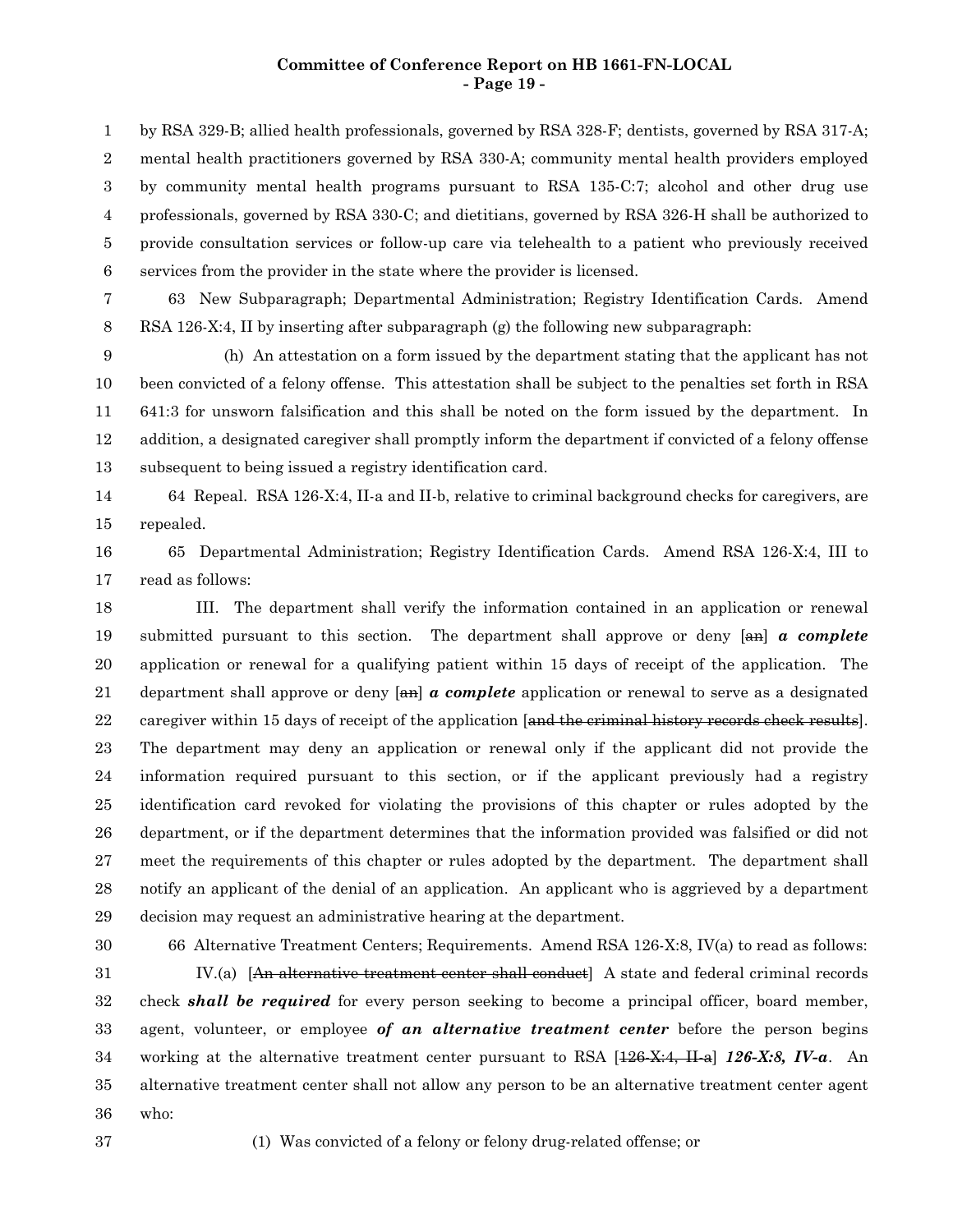## **Committee of Conference Report on HB 1661-FN-LOCAL - Page 19 -**

by RSA 329-B; allied health professionals, governed by RSA 328-F; dentists, governed by RSA 317-A; mental health practitioners governed by RSA 330-A; community mental health providers employed by community mental health programs pursuant to RSA 135-C:7; alcohol and other drug use professionals, governed by RSA 330-C; and dietitians, governed by RSA 326-H shall be authorized to provide consultation services or follow-up care via telehealth to a patient who previously received services from the provider in the state where the provider is licensed. 1 2 3 4 5 6

63 New Subparagraph; Departmental Administration; Registry Identification Cards. Amend RSA 126-X:4, II by inserting after subparagraph (g) the following new subparagraph: 7 8

(h) An attestation on a form issued by the department stating that the applicant has not been convicted of a felony offense. This attestation shall be subject to the penalties set forth in RSA 641:3 for unsworn falsification and this shall be noted on the form issued by the department. In addition, a designated caregiver shall promptly inform the department if convicted of a felony offense subsequent to being issued a registry identification card. 9 10 11 12 13

64 Repeal. RSA 126-X:4, II-a and II-b, relative to criminal background checks for caregivers, are repealed. 14 15

65 Departmental Administration; Registry Identification Cards. Amend RSA 126-X:4, III to read as follows: 16 17

III. The department shall verify the information contained in an application or renewal submitted pursuant to this section. The department shall approve or deny [an] *a complete* application or renewal for a qualifying patient within 15 days of receipt of the application. The department shall approve or deny [an] *a complete* application or renewal to serve as a designated caregiver within 15 days of receipt of the application [and the criminal history records check results]. The department may deny an application or renewal only if the applicant did not provide the information required pursuant to this section, or if the applicant previously had a registry identification card revoked for violating the provisions of this chapter or rules adopted by the department, or if the department determines that the information provided was falsified or did not meet the requirements of this chapter or rules adopted by the department. The department shall notify an applicant of the denial of an application. An applicant who is aggrieved by a department decision may request an administrative hearing at the department. 18 19 20 21 22 23 24 25 26 27 28 29

30 31

66 Alternative Treatment Centers; Requirements. Amend RSA 126-X:8, IV(a) to read as follows: IV.(a) [An alternative treatment center shall conduct] A state and federal criminal records

check *shall be required* for every person seeking to become a principal officer, board member, agent, volunteer, or employee *of an alternative treatment center* before the person begins working at the alternative treatment center pursuant to RSA [126-X:4, II-a] *126-X:8, IV-a*. An alternative treatment center shall not allow any person to be an alternative treatment center agent who: 32 33 34 35 36

37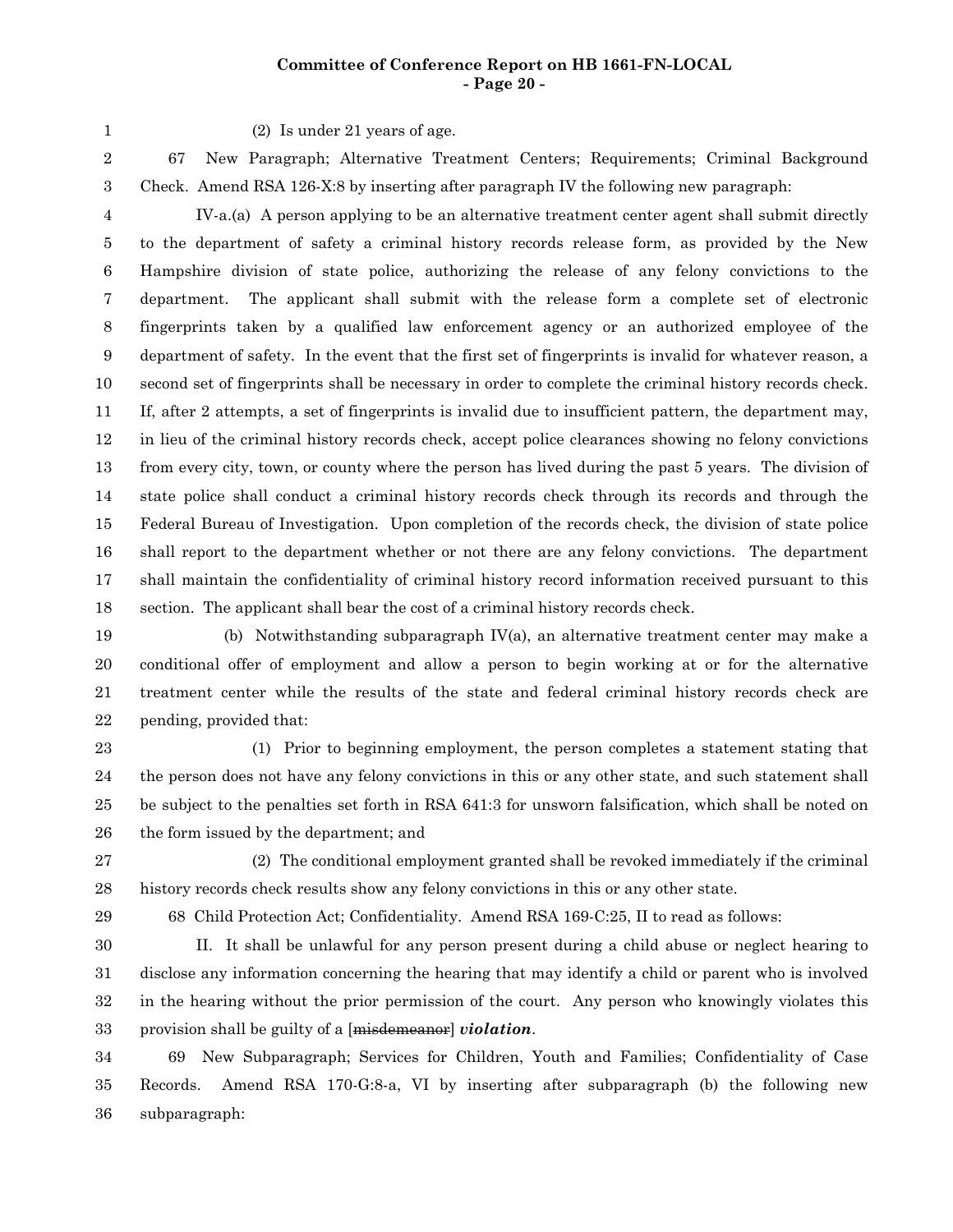# **Committee of Conference Report on HB 1661-FN-LOCAL - Page 20 -**

1

(2) Is under 21 years of age.

67 New Paragraph; Alternative Treatment Centers; Requirements; Criminal Background Check. Amend RSA 126-X:8 by inserting after paragraph IV the following new paragraph: 2 3

IV-a.(a) A person applying to be an alternative treatment center agent shall submit directly to the department of safety a criminal history records release form, as provided by the New Hampshire division of state police, authorizing the release of any felony convictions to the department. The applicant shall submit with the release form a complete set of electronic fingerprints taken by a qualified law enforcement agency or an authorized employee of the department of safety. In the event that the first set of fingerprints is invalid for whatever reason, a second set of fingerprints shall be necessary in order to complete the criminal history records check. If, after 2 attempts, a set of fingerprints is invalid due to insufficient pattern, the department may, in lieu of the criminal history records check, accept police clearances showing no felony convictions from every city, town, or county where the person has lived during the past 5 years. The division of state police shall conduct a criminal history records check through its records and through the Federal Bureau of Investigation. Upon completion of the records check, the division of state police shall report to the department whether or not there are any felony convictions. The department shall maintain the confidentiality of criminal history record information received pursuant to this section. The applicant shall bear the cost of a criminal history records check. 4 5 6 7 8 9 10 11 12 13 14 15 16 17 18

(b) Notwithstanding subparagraph IV(a), an alternative treatment center may make a conditional offer of employment and allow a person to begin working at or for the alternative treatment center while the results of the state and federal criminal history records check are pending, provided that: 19 20 21 22

(1) Prior to beginning employment, the person completes a statement stating that the person does not have any felony convictions in this or any other state, and such statement shall be subject to the penalties set forth in RSA 641:3 for unsworn falsification, which shall be noted on the form issued by the department; and 23 24 25 26

(2) The conditional employment granted shall be revoked immediately if the criminal history records check results show any felony convictions in this or any other state. 27 28

29

68 Child Protection Act; Confidentiality. Amend RSA 169-C:25, II to read as follows:

II. It shall be unlawful for any person present during a child abuse or neglect hearing to disclose any information concerning the hearing that may identify a child or parent who is involved in the hearing without the prior permission of the court. Any person who knowingly violates this provision shall be guilty of a [misdemeanor] *violation*. 30 31 32 33

69 New Subparagraph; Services for Children, Youth and Families; Confidentiality of Case Records. Amend RSA 170-G:8-a, VI by inserting after subparagraph (b) the following new subparagraph: 34 35 36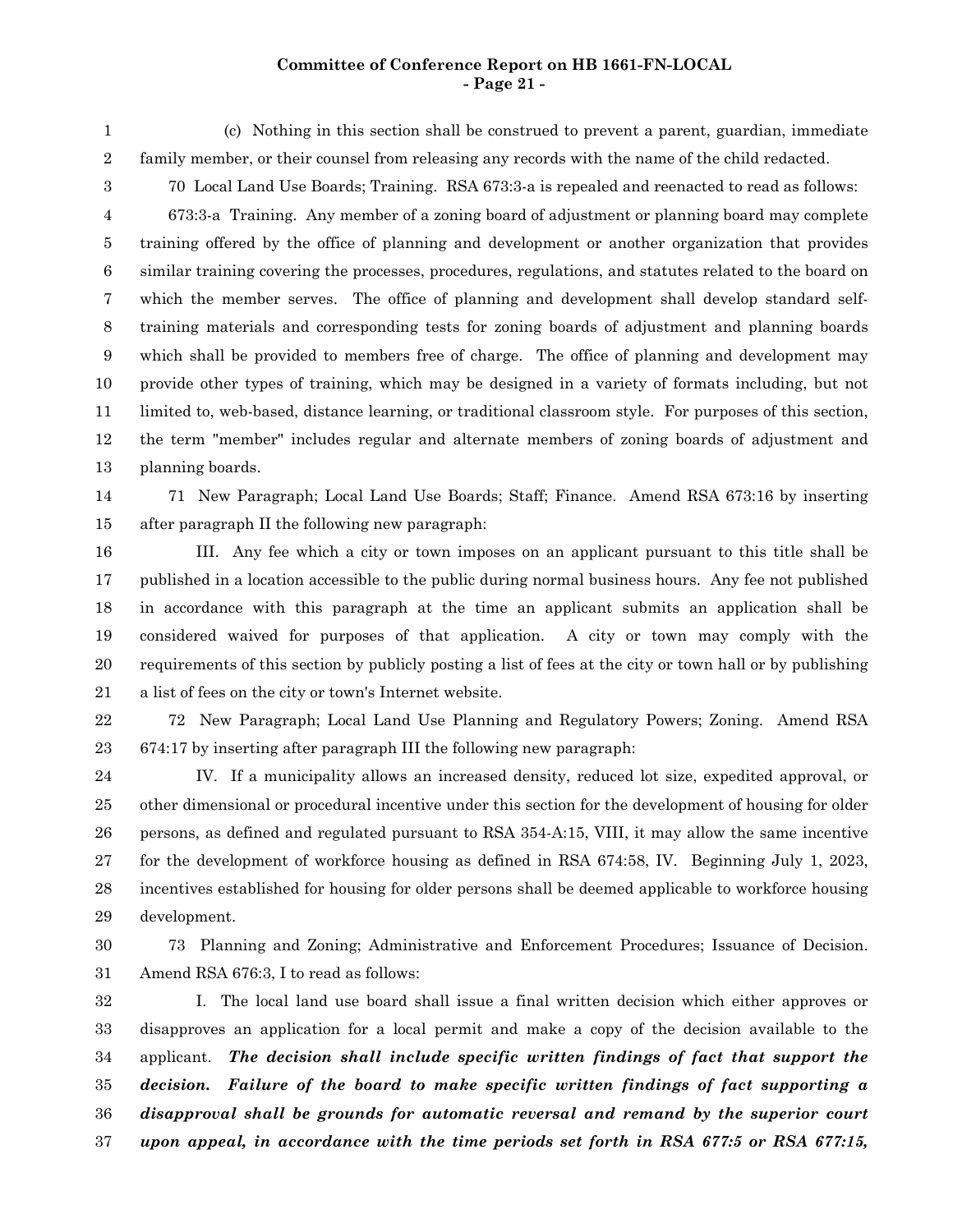#### **Committee of Conference Report on HB 1661-FN-LOCAL - Page 21 -**

(c) Nothing in this section shall be construed to prevent a parent, guardian, immediate family member, or their counsel from releasing any records with the name of the child redacted. 1 2

70 Local Land Use Boards; Training. RSA 673:3-a is repealed and reenacted to read as follows:

673:3-a Training. Any member of a zoning board of adjustment or planning board may complete training offered by the office of planning and development or another organization that provides similar training covering the processes, procedures, regulations, and statutes related to the board on which the member serves. The office of planning and development shall develop standard selftraining materials and corresponding tests for zoning boards of adjustment and planning boards which shall be provided to members free of charge. The office of planning and development may provide other types of training, which may be designed in a variety of formats including, but not limited to, web-based, distance learning, or traditional classroom style. For purposes of this section, the term "member" includes regular and alternate members of zoning boards of adjustment and planning boards. 4 5 6 7 8 9 10 11 12 13

3

71 New Paragraph; Local Land Use Boards; Staff; Finance. Amend RSA 673:16 by inserting after paragraph II the following new paragraph: 14 15

III. Any fee which a city or town imposes on an applicant pursuant to this title shall be published in a location accessible to the public during normal business hours. Any fee not published in accordance with this paragraph at the time an applicant submits an application shall be considered waived for purposes of that application. A city or town may comply with the requirements of this section by publicly posting a list of fees at the city or town hall or by publishing a list of fees on the city or town's Internet website. 16 17 18 19 20 21

72 New Paragraph; Local Land Use Planning and Regulatory Powers; Zoning. Amend RSA 674:17 by inserting after paragraph III the following new paragraph: 22 23

IV. If a municipality allows an increased density, reduced lot size, expedited approval, or other dimensional or procedural incentive under this section for the development of housing for older persons, as defined and regulated pursuant to RSA 354-A:15, VIII, it may allow the same incentive for the development of workforce housing as defined in RSA 674:58, IV. Beginning July 1, 2023, incentives established for housing for older persons shall be deemed applicable to workforce housing development. 24 25 26 27 28 29

73 Planning and Zoning; Administrative and Enforcement Procedures; Issuance of Decision. Amend RSA 676:3, I to read as follows: 30 31

I. The local land use board shall issue a final written decision which either approves or disapproves an application for a local permit and make a copy of the decision available to the applicant. *The decision shall include specific written findings of fact that support the decision. Failure of the board to make specific written findings of fact supporting a disapproval shall be grounds for automatic reversal and remand by the superior court upon appeal, in accordance with the time periods set forth in RSA 677:5 or RSA 677:15,* 32 33 34 35 36 37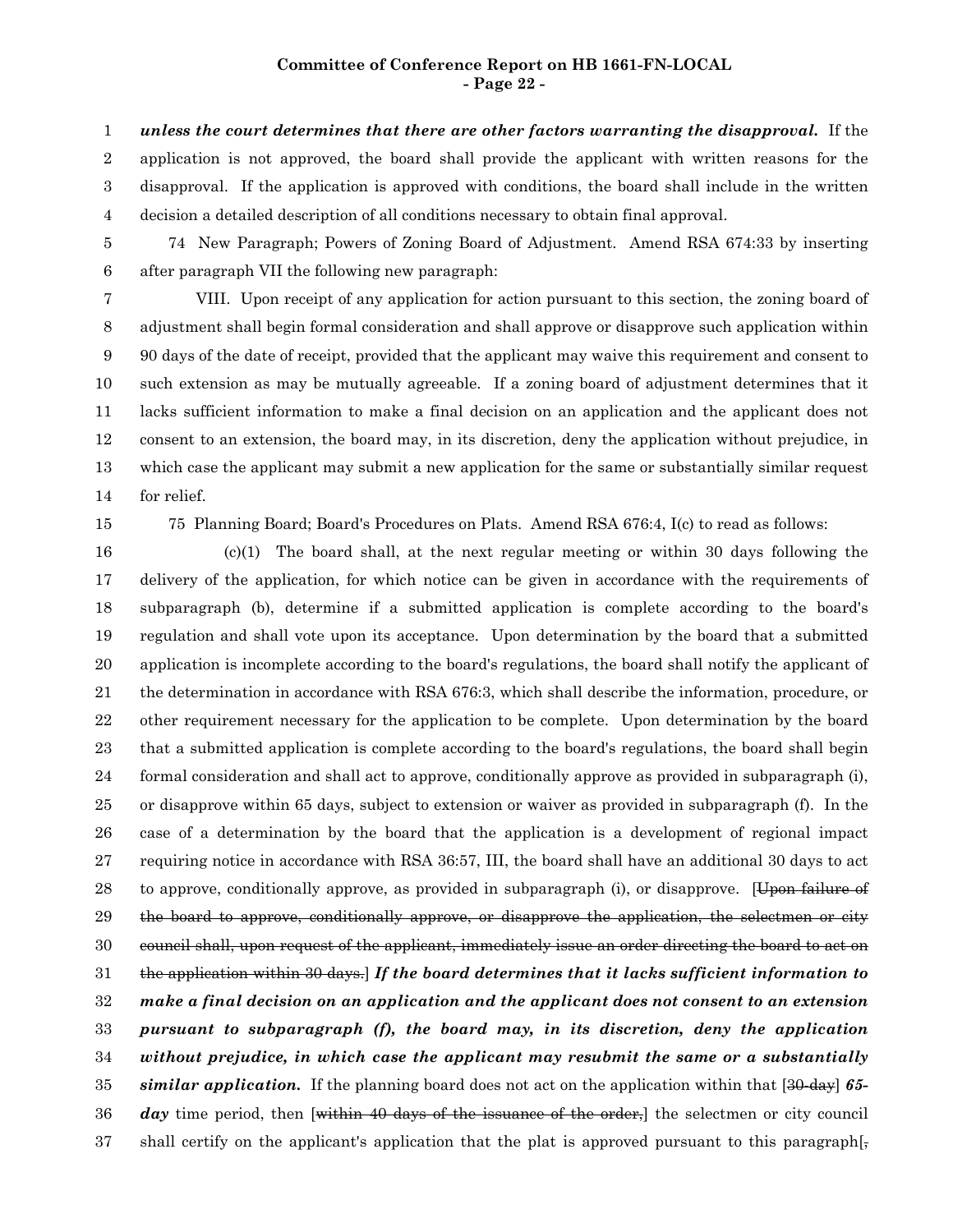#### **Committee of Conference Report on HB 1661-FN-LOCAL - Page 22 -**

*unless the court determines that there are other factors warranting the disapproval.* If the application is not approved, the board shall provide the applicant with written reasons for the disapproval. If the application is approved with conditions, the board shall include in the written decision a detailed description of all conditions necessary to obtain final approval. 1 2 3 4

74 New Paragraph; Powers of Zoning Board of Adjustment. Amend RSA 674:33 by inserting after paragraph VII the following new paragraph: 5 6

VIII. Upon receipt of any application for action pursuant to this section, the zoning board of adjustment shall begin formal consideration and shall approve or disapprove such application within 90 days of the date of receipt, provided that the applicant may waive this requirement and consent to such extension as may be mutually agreeable. If a zoning board of adjustment determines that it lacks sufficient information to make a final decision on an application and the applicant does not consent to an extension, the board may, in its discretion, deny the application without prejudice, in which case the applicant may submit a new application for the same or substantially similar request for relief. 7 8 9 10 11 12 13 14

15

75 Planning Board; Board's Procedures on Plats. Amend RSA 676:4, I(c) to read as follows:

(c)(1) The board shall, at the next regular meeting or within 30 days following the delivery of the application, for which notice can be given in accordance with the requirements of subparagraph (b), determine if a submitted application is complete according to the board's regulation and shall vote upon its acceptance. Upon determination by the board that a submitted application is incomplete according to the board's regulations, the board shall notify the applicant of the determination in accordance with RSA 676:3, which shall describe the information, procedure, or other requirement necessary for the application to be complete. Upon determination by the board that a submitted application is complete according to the board's regulations, the board shall begin formal consideration and shall act to approve, conditionally approve as provided in subparagraph (i), or disapprove within 65 days, subject to extension or waiver as provided in subparagraph (f). In the case of a determination by the board that the application is a development of regional impact requiring notice in accordance with RSA 36:57, III, the board shall have an additional 30 days to act to approve, conditionally approve, as provided in subparagraph (i), or disapprove. [Upon failure of the board to approve, conditionally approve, or disapprove the application, the selectmen or city council shall, upon request of the applicant, immediately issue an order directing the board to act on the application within 30 days.] *If the board determines that it lacks sufficient information to make a final decision on an application and the applicant does not consent to an extension pursuant to subparagraph (f), the board may, in its discretion, deny the application without prejudice, in which case the applicant may resubmit the same or a substantially similar application.* If the planning board does not act on the application within that [30-day] *65* day time period, then [within 40 days of the issuance of the order,] the selectmen or city council shall certify on the applicant's application that the plat is approved pursuant to this paragraph. 16 17 18 19 20 21 22 23 24 25 26 27 28 29 30 31 32 33 34 35 36 37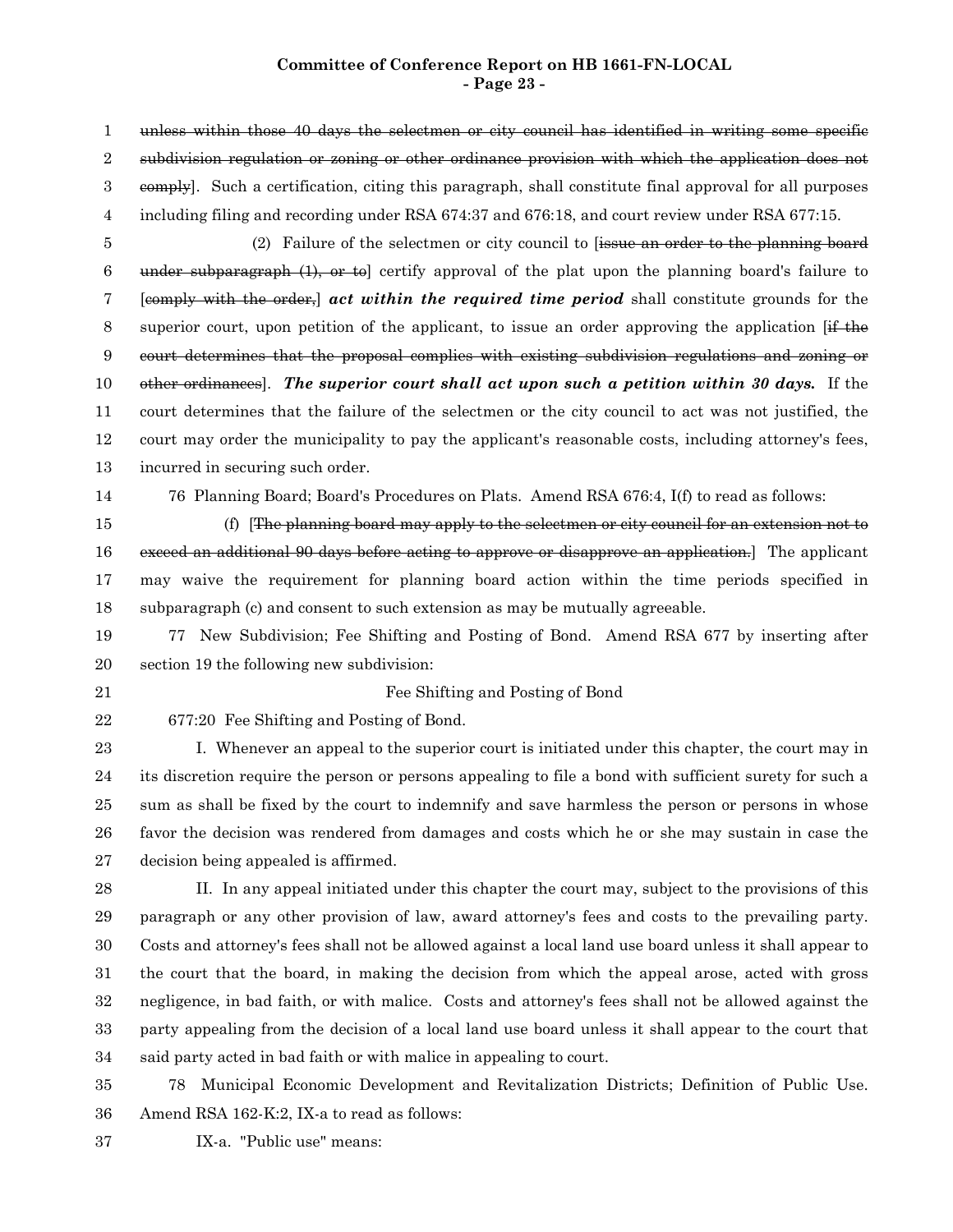#### **Committee of Conference Report on HB 1661-FN-LOCAL - Page 23 -**

unless within those 40 days the selectmen or city council has identified in writing some specific subdivision regulation or zoning or other ordinance provision with which the application does not eomply]. Such a certification, citing this paragraph, shall constitute final approval for all purposes including filing and recording under RSA 674:37 and 676:18, and court review under RSA 677:15. (2) Failure of the selectmen or city council to [issue an order to the planning board under subparagraph (1), or to certify approval of the plat upon the planning board's failure to [comply with the order,] *act within the required time period* shall constitute grounds for the superior court, upon petition of the applicant, to issue an order approving the application  $If$  the court determines that the proposal complies with existing subdivision regulations and zoning or other ordinances]. *The superior court shall act upon such a petition within 30 days.* If the court determines that the failure of the selectmen or the city council to act was not justified, the court may order the municipality to pay the applicant's reasonable costs, including attorney's fees, incurred in securing such order. 76 Planning Board; Board's Procedures on Plats. Amend RSA 676:4, I(f) to read as follows: (f) [The planning board may apply to the selectmen or city council for an extension not to exceed an additional 90 days before acting to approve or disapprove an application.] The applicant may waive the requirement for planning board action within the time periods specified in subparagraph (c) and consent to such extension as may be mutually agreeable. 77 New Subdivision; Fee Shifting and Posting of Bond. Amend RSA 677 by inserting after section 19 the following new subdivision: Fee Shifting and Posting of Bond 677:20 Fee Shifting and Posting of Bond. I. Whenever an appeal to the superior court is initiated under this chapter, the court may in its discretion require the person or persons appealing to file a bond with sufficient surety for such a sum as shall be fixed by the court to indemnify and save harmless the person or persons in whose favor the decision was rendered from damages and costs which he or she may sustain in case the decision being appealed is affirmed. II. In any appeal initiated under this chapter the court may, subject to the provisions of this paragraph or any other provision of law, award attorney's fees and costs to the prevailing party. Costs and attorney's fees shall not be allowed against a local land use board unless it shall appear to the court that the board, in making the decision from which the appeal arose, acted with gross negligence, in bad faith, or with malice. Costs and attorney's fees shall not be allowed against the party appealing from the decision of a local land use board unless it shall appear to the court that said party acted in bad faith or with malice in appealing to court. 1 2 3 4 5 6 7 8 9 10 11 12 13 14 15 16 17 18 19 20 21 22 23 24 25 26 27 28 29 30 31 32 33 34

78 Municipal Economic Development and Revitalization Districts; Definition of Public Use. Amend RSA 162-K:2, IX-a to read as follows: 35 36

IX-a. "Public use" means: 37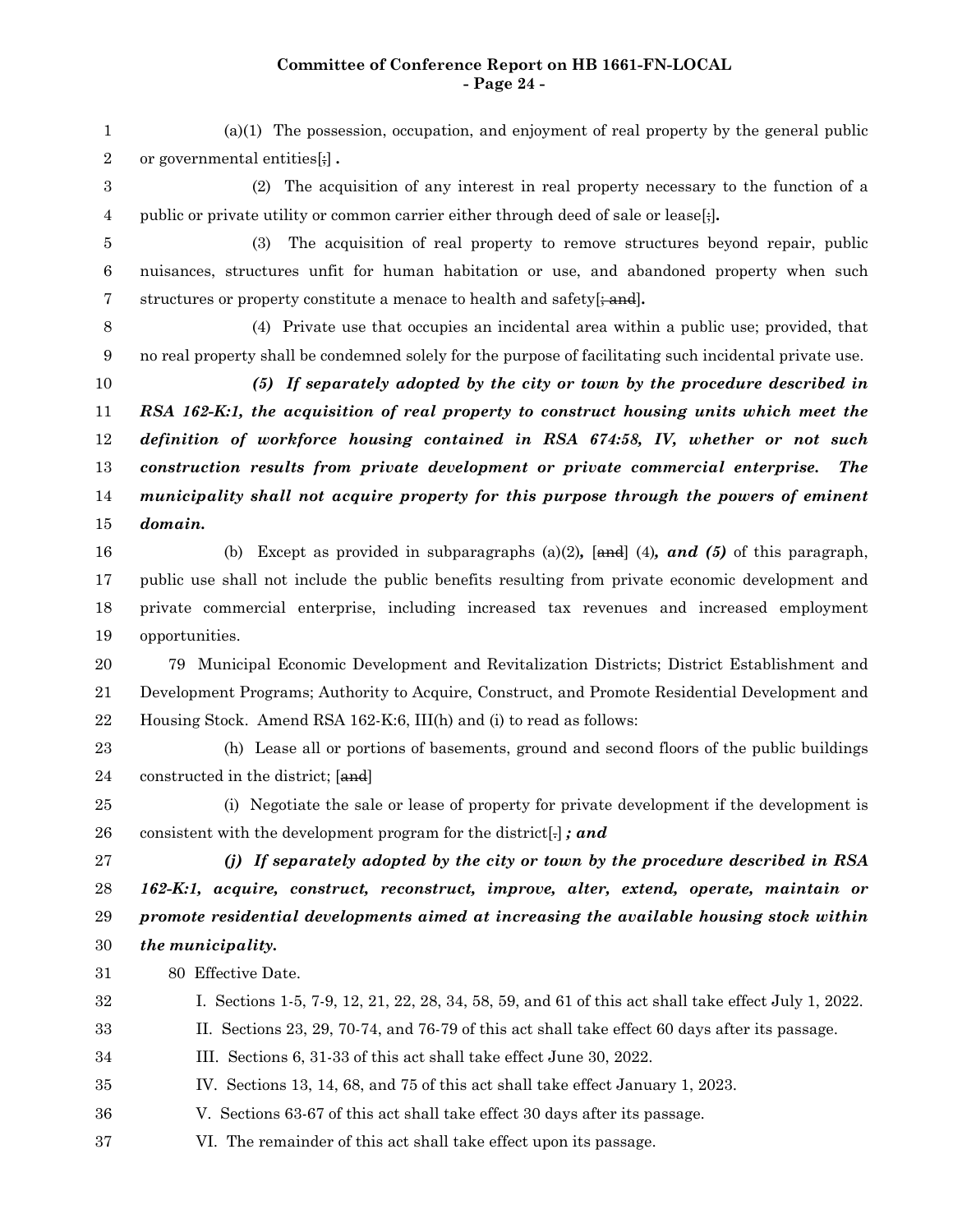# **Committee of Conference Report on HB 1661-FN-LOCAL - Page 24 -**

(a)(1) The possession, occupation, and enjoyment of real property by the general public or governmental entities[;] *.* (2) The acquisition of any interest in real property necessary to the function of a public or private utility or common carrier either through deed of sale or lease[;]*.* (3) The acquisition of real property to remove structures beyond repair, public nuisances, structures unfit for human habitation or use, and abandoned property when such structures or property constitute a menace to health and safety[; and]*.* (4) Private use that occupies an incidental area within a public use; provided, that no real property shall be condemned solely for the purpose of facilitating such incidental private use. *(5) If separately adopted by the city or town by the procedure described in RSA 162-K:1, the acquisition of real property to construct housing units which meet the definition of workforce housing contained in RSA 674:58, IV, whether or not such construction results from private development or private commercial enterprise. The municipality shall not acquire property for this purpose through the powers of eminent domain.* (b) Except as provided in subparagraphs (a)(2)*,* [and] (4)*, and (5)* of this paragraph, public use shall not include the public benefits resulting from private economic development and private commercial enterprise, including increased tax revenues and increased employment opportunities. 79 Municipal Economic Development and Revitalization Districts; District Establishment and Development Programs; Authority to Acquire, Construct, and Promote Residential Development and Housing Stock. Amend RSA 162-K:6, III(h) and (i) to read as follows: (h) Lease all or portions of basements, ground and second floors of the public buildings constructed in the district; [and] (i) Negotiate the sale or lease of property for private development if the development is consistent with the development program for the district[.] *; and (j) If separately adopted by the city or town by the procedure described in RSA 162-K:1, acquire, construct, reconstruct, improve, alter, extend, operate, maintain or promote residential developments aimed at increasing the available housing stock within the municipality.* 80 Effective Date. I. Sections 1-5, 7-9, 12, 21, 22, 28, 34, 58, 59, and 61 of this act shall take effect July 1, 2022. II. Sections 23, 29, 70-74, and 76-79 of this act shall take effect 60 days after its passage. III. Sections 6, 31-33 of this act shall take effect June 30, 2022. IV. Sections 13, 14, 68, and 75 of this act shall take effect January 1, 2023. V. Sections 63-67 of this act shall take effect 30 days after its passage. VI. The remainder of this act shall take effect upon its passage. 1 2 3 4 5 6 7 8 9 10 11 12 13 14 15 16 17 18 19 20 21 22 23 24 25 26 27 28 29 30 31 32 33 34 35 36 37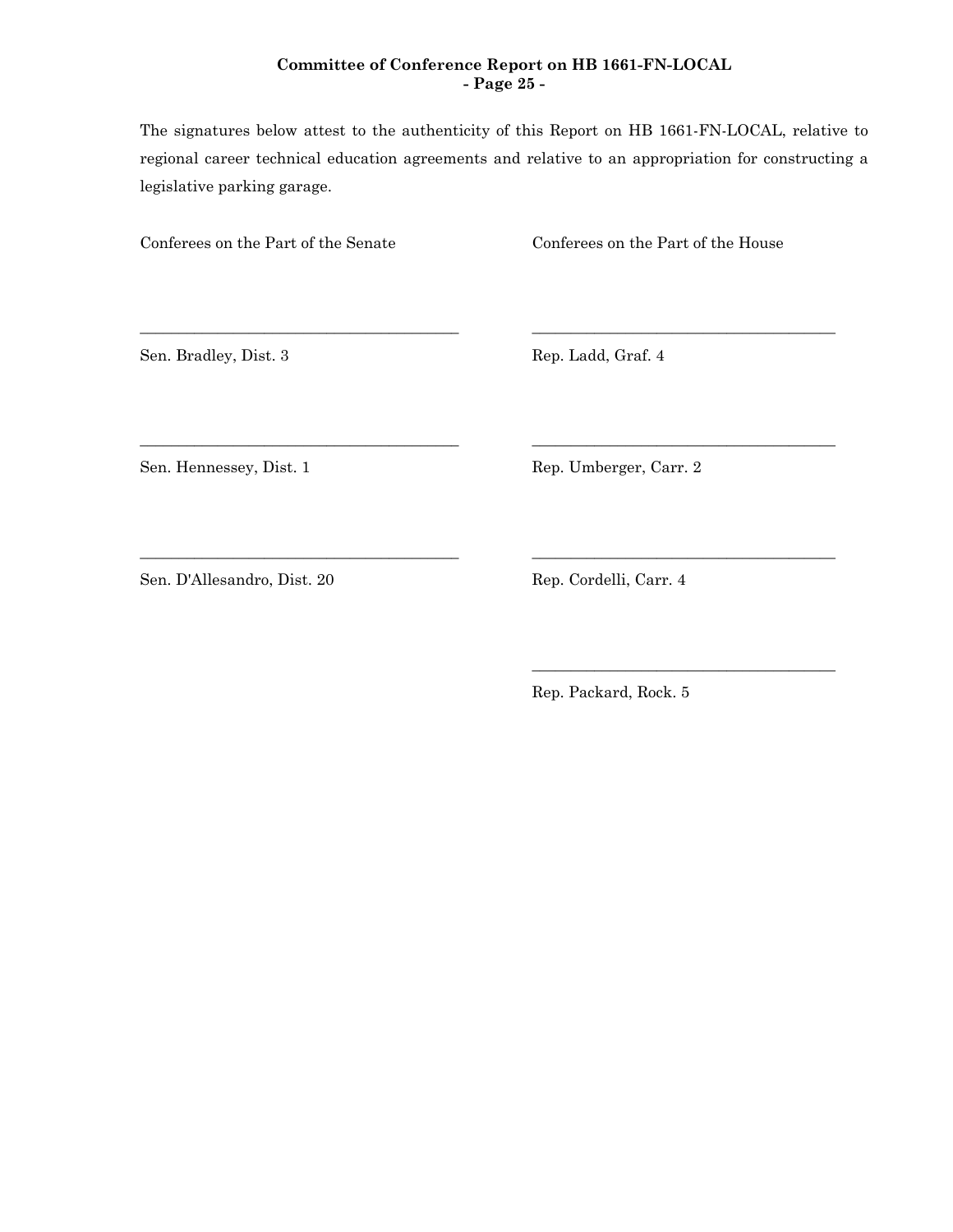# **Committee of Conference Report on HB 1661-FN-LOCAL - Page 25 -**

The signatures below attest to the authenticity of this Report on HB 1661-FN-LOCAL, relative to regional career technical education agreements and relative to an appropriation for constructing a legislative parking garage.

\_\_\_\_\_\_\_\_\_\_\_\_\_\_\_\_\_\_\_\_\_\_\_\_\_\_\_\_\_\_\_\_\_\_\_\_\_\_\_\_\_ \_\_\_\_\_\_\_\_\_\_\_\_\_\_\_\_\_\_\_\_\_\_\_\_\_\_\_\_\_\_\_\_\_\_\_\_\_\_\_

\_\_\_\_\_\_\_\_\_\_\_\_\_\_\_\_\_\_\_\_\_\_\_\_\_\_\_\_\_\_\_\_\_\_\_\_\_\_\_\_\_ \_\_\_\_\_\_\_\_\_\_\_\_\_\_\_\_\_\_\_\_\_\_\_\_\_\_\_\_\_\_\_\_\_\_\_\_\_\_\_

\_\_\_\_\_\_\_\_\_\_\_\_\_\_\_\_\_\_\_\_\_\_\_\_\_\_\_\_\_\_\_\_\_\_\_\_\_\_\_\_\_ \_\_\_\_\_\_\_\_\_\_\_\_\_\_\_\_\_\_\_\_\_\_\_\_\_\_\_\_\_\_\_\_\_\_\_\_\_\_\_

Conferees on the Part of the Senate Conferees on the Part of the House

Sen. Bradley, Dist. 3 Rep. Ladd, Graf. 4

Sen. Hennessey, Dist. 1 Rep. Umberger, Carr. 2

Sen. D'Allesandro, Dist. 20 Rep. Cordelli, Carr. 4

Rep. Packard, Rock. 5

\_\_\_\_\_\_\_\_\_\_\_\_\_\_\_\_\_\_\_\_\_\_\_\_\_\_\_\_\_\_\_\_\_\_\_\_\_\_\_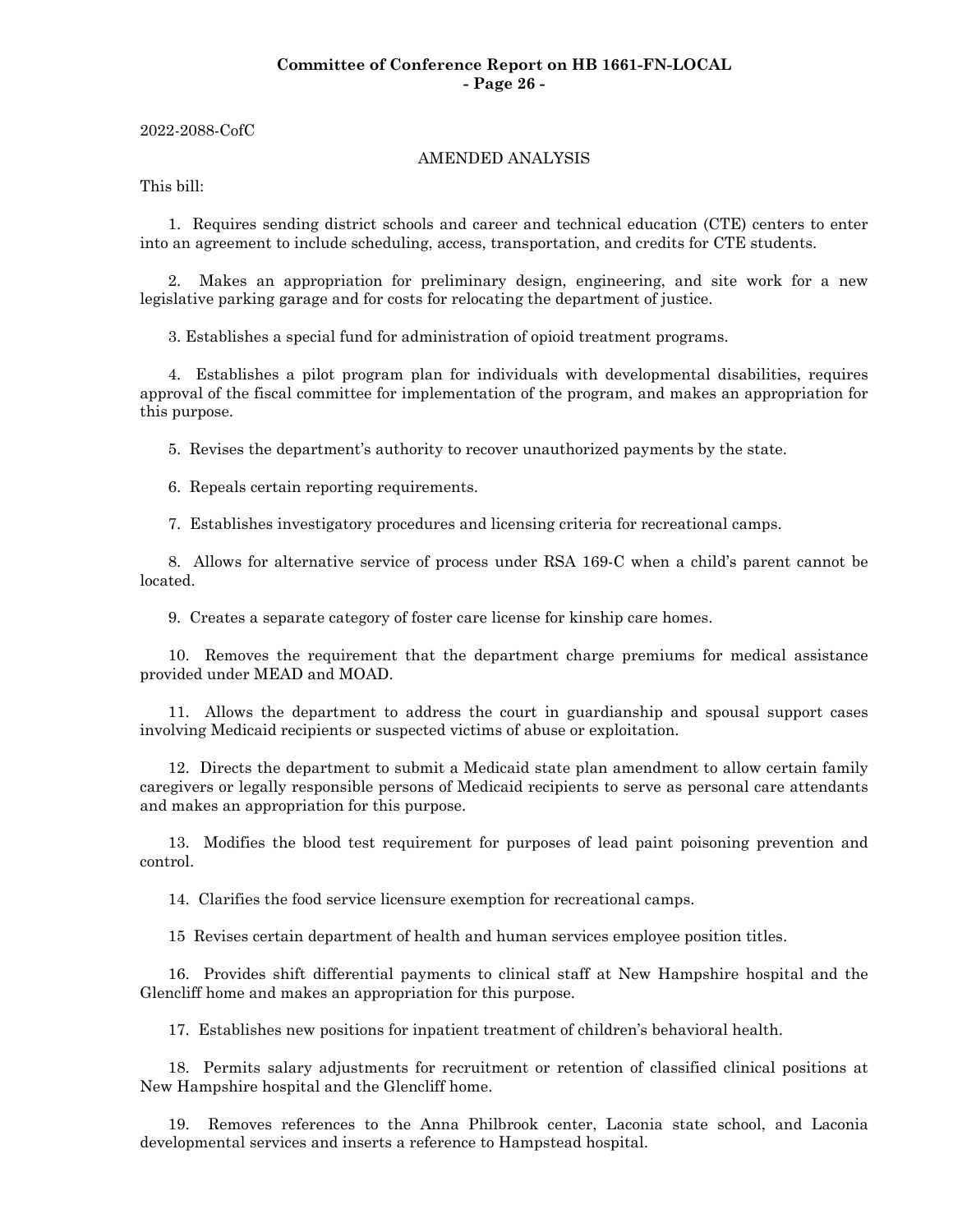## **Committee of Conference Report on HB 1661-FN-LOCAL - Page 26 -**

2022-2088-CofC

#### AMENDED ANALYSIS

This bill:

1. Requires sending district schools and career and technical education (CTE) centers to enter into an agreement to include scheduling, access, transportation, and credits for CTE students.

2. Makes an appropriation for preliminary design, engineering, and site work for a new legislative parking garage and for costs for relocating the department of justice.

3. Establishes a special fund for administration of opioid treatment programs.

4. Establishes a pilot program plan for individuals with developmental disabilities, requires approval of the fiscal committee for implementation of the program, and makes an appropriation for this purpose.

5. Revises the department's authority to recover unauthorized payments by the state.

6. Repeals certain reporting requirements.

7. Establishes investigatory procedures and licensing criteria for recreational camps.

8. Allows for alternative service of process under RSA 169-C when a child's parent cannot be located.

9. Creates a separate category of foster care license for kinship care homes.

10. Removes the requirement that the department charge premiums for medical assistance provided under MEAD and MOAD.

11. Allows the department to address the court in guardianship and spousal support cases involving Medicaid recipients or suspected victims of abuse or exploitation.

12. Directs the department to submit a Medicaid state plan amendment to allow certain family caregivers or legally responsible persons of Medicaid recipients to serve as personal care attendants and makes an appropriation for this purpose.

13. Modifies the blood test requirement for purposes of lead paint poisoning prevention and control.

14. Clarifies the food service licensure exemption for recreational camps.

15 Revises certain department of health and human services employee position titles.

16. Provides shift differential payments to clinical staff at New Hampshire hospital and the Glencliff home and makes an appropriation for this purpose.

17. Establishes new positions for inpatient treatment of children's behavioral health.

18. Permits salary adjustments for recruitment or retention of classified clinical positions at New Hampshire hospital and the Glencliff home.

19. Removes references to the Anna Philbrook center, Laconia state school, and Laconia developmental services and inserts a reference to Hampstead hospital.